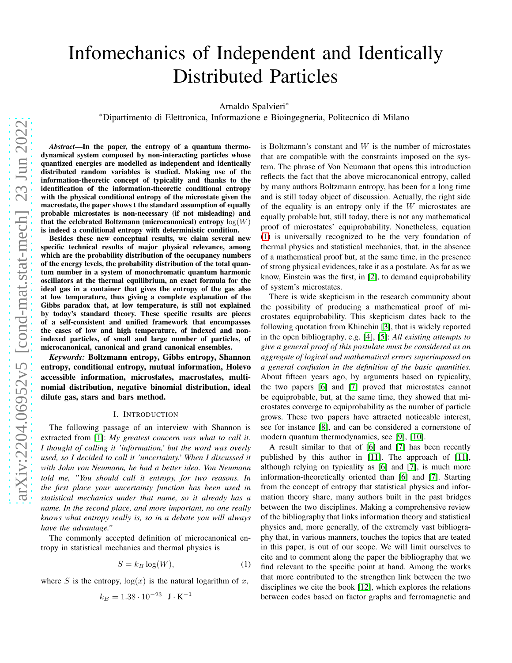# Infomechanics of Independent and Identically Distributed Particles

Arnaldo Spalvieri<sup>∗</sup>

<sup>∗</sup>Dipartimento di Elettronica, Informazione e Bioingegneria, Politecnico di Milano

*Abstract*—In the paper, the entropy of a quantum thermodynamical system composed by non-interacting particles whose quantized energies are modelled as independent and identically distributed random variables is studied. Making use of the information-theoretic concept of typicality and thanks to the identification of the information-theoretic conditional entropy with the physical conditional entropy of the microstate given the macrostate, the paper shows t the standard assumption of equally probable microstates is non-necessary (if not misleading) and that the celebrated Boltzmann (microcanonical) entropy  $log(W)$ is indeed a conditional entropy with deterministic condition.

Besides these new conceptual results, we claim several new specific technical results of major physical relevance, among which are the probability distribution of the occupancy numbers of the energy levels, the probability distribution of the total quantum number in a system of monochromatic quantum harmonic oscillators at the thermal equilibrium, an exact formula for the ideal gas in a container that gives the entropy of the gas also at low temperature, thus giving a complete explanation of the Gibbs paradox that, at low temperature, is still not explained by today's standard theory. These specific results are pieces of a self-consistent and unified framework that encompasses the cases of low and high temperature, of indexed and nonindexed particles, of small and large number of particles, of microcanonical, canonical and grand canonical ensembles.

*Keywords:* Boltzmann entropy, Gibbs entropy, Shannon entropy, conditional entropy, mutual information, Holevo accessible information, microstates, macrostates, multinomial distribution, negative binomial distribution, ideal dilute gas, stars and bars method.

## I. INTRODUCTION

The following passage of an interview with Shannon is extracted from [\[1\]](#page-16-0): *My greatest concern was what to call it. I thought of calling it 'information,' but the word was overly used, so I decided to call it 'uncertainty.' When I discussed it with John von Neumann, he had a better idea. Von Neumann told me, "You should call it entropy, for two reasons. In the first place your uncertainty function has been used in statistical mechanics under that name, so it already has a name. In the second place, and more important, no one really knows what entropy really is, so in a debate you will always have the advantage."*

The commonly accepted definition of microcanonical entropy in statistical mechanics and thermal physics is

<span id="page-0-0"></span>
$$
S = k_B \log(W),\tag{1}
$$

where S is the entropy,  $log(x)$  is the natural logarithm of x,

$$
k_B = 1.38 \cdot 10^{-23} \text{ J} \cdot \text{K}^{-1}
$$

is Boltzmann's constant and  $W$  is the number of microstates that are compatible with the constraints imposed on the system. The phrase of Von Neumann that opens this introduction reflects the fact that the above microcanonical entropy, called by many authors Boltzmann entropy, has been for a long time and is still today object of discussion. Actually, the right side of the equality is an entropy only if the  $W$  microstates are equally probable but, still today, there is not any mathematical proof of microstates' equiprobability. Nonetheless, equation [\(1\)](#page-0-0) is universally recognized to be the very foundation of thermal physics and statistical mechanics, that, in the absence of a mathematical proof but, at the same time, in the presence of strong physical evidences, take it as a postulate. As far as we know, Einstein was the first, in [\[2\]](#page-16-1), to demand equiprobability of system's microstates.

There is wide skepticism in the research community about the possibility of producing a mathematical proof of microstates equiprobability. This skepticism dates back to the following quotation from Khinchin [\[3\]](#page-16-2), that is widely reported in the open bibliography, e.g. [\[4\]](#page-16-3), [\[5\]](#page-16-4): *All existing attempts to give a general proof of this postulate must be considered as an aggregate of logical and mathematical errors superimposed on a general confusion in the definition of the basic quantities.* About fifteen years ago, by arguments based on typicality, the two papers [\[6\]](#page-16-5) and [\[7\]](#page-16-6) proved that microstates cannot be equiprobable, but, at the same time, they showed that microstates converge to equiprobability as the number of particle grows. These two papers have attracted noticeable interest, see for instance [\[8\]](#page-16-7), and can be considered a cornerstone of modern quantum thermodynamics, see [\[9\]](#page-16-8), [\[10\]](#page-16-9).

A result similar to that of [\[6\]](#page-16-5) and [\[7\]](#page-16-6) has been recently published by this author in [\[11\]](#page-16-10). The approach of [\[11\]](#page-16-10), although relying on typicality as [\[6\]](#page-16-5) and [\[7\]](#page-16-6), is much more information-theoretically oriented than [\[6\]](#page-16-5) and [\[7\]](#page-16-6). Starting from the concept of entropy that statistical physics and information theory share, many authors built in the past bridges between the two disciplines. Making a comprehensive review of the bibliography that links information theory and statistical physics and, more generally, of the extremely vast bibliography that, in various manners, touches the topics that are teated in this paper, is out of our scope. We will limit ourselves to cite and to comment along the paper the bibliography that we find relevant to the specific point at hand. Among the works that more contributed to the strengthen link between the two disciplines we cite the book [\[12\]](#page-16-11), which explores the relations between codes based on factor graphs and ferromagnetic and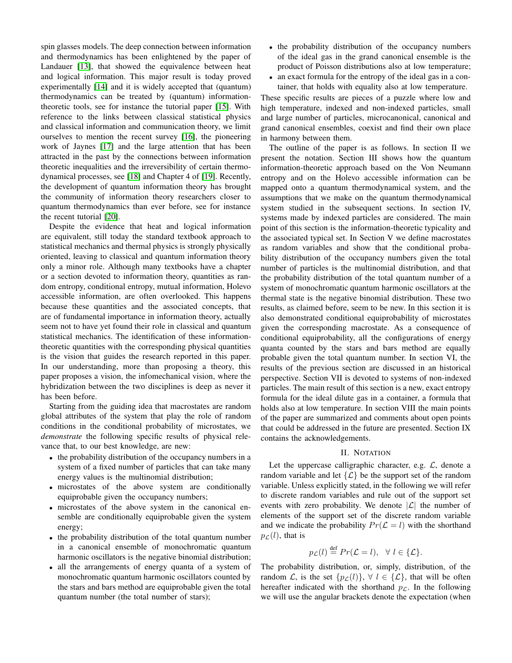spin glasses models. The deep connection between information and thermodynamics has been enlightened by the paper of Landauer [\[13\]](#page-16-12), that showed the equivalence between heat and logical information. This major result is today proved experimentally [\[14\]](#page-16-13) and it is widely accepted that (quantum) thermodynamics can be treated by (quantum) informationtheoretic tools, see for instance the tutorial paper [\[15\]](#page-16-14). With reference to the links between classical statistical physics and classical information and communication theory, we limit ourselves to mention the recent survey [\[16\]](#page-16-15), the pioneering work of Jaynes [\[17\]](#page-16-16) and the large attention that has been attracted in the past by the connections between information theoretic inequalities and the irreversibility of certain thermodynamical processes, see [\[18\]](#page-16-17) and Chapter 4 of [\[19\]](#page-16-18). Recently, the development of quantum information theory has brought the community of information theory researchers closer to quantum thermodynamics than ever before, see for instance the recent tutorial [\[20\]](#page-16-19).

Despite the evidence that heat and logical information are equivalent, still today the standard textbook approach to statistical mechanics and thermal physics is strongly physically oriented, leaving to classical and quantum information theory only a minor role. Although many textbooks have a chapter or a section devoted to information theory, quantities as random entropy, conditional entropy, mutual information, Holevo accessible information, are often overlooked. This happens because these quantities and the associated concepts, that are of fundamental importance in information theory, actually seem not to have yet found their role in classical and quantum statistical mechanics. The identification of these informationtheoretic quantities with the corresponding physical quantities is the vision that guides the research reported in this paper. In our understanding, more than proposing a theory, this paper proposes a vision, the infomechanical vision, where the hybridization between the two disciplines is deep as never it has been before.

Starting from the guiding idea that macrostates are random global attributes of the system that play the role of random conditions in the conditional probability of microstates, we *demonstrate* the following specific results of physical relevance that, to our best knowledge, are new:

- the probability distribution of the occupancy numbers in a system of a fixed number of particles that can take many energy values is the multinomial distribution;
- microstates of the above system are conditionally equiprobable given the occupancy numbers;
- microstates of the above system in the canonical ensemble are conditionally equiprobable given the system energy;
- the probability distribution of the total quantum number in a canonical ensemble of monochromatic quantum harmonic oscillators is the negative binomial distribution;
- all the arrangements of energy quanta of a system of monochromatic quantum harmonic oscillators counted by the stars and bars method are equiprobable given the total quantum number (the total number of stars);
- the probability distribution of the occupancy numbers of the ideal gas in the grand canonical ensemble is the product of Poisson distributions also at low temperature;
- an exact formula for the entropy of the ideal gas in a container, that holds with equality also at low temperature.

These specific results are pieces of a puzzle where low and high temperature, indexed and non-indexed particles, small and large number of particles, microcanonical, canonical and grand canonical ensembles, coexist and find their own place in harmony between them.

The outline of the paper is as follows. In section II we present the notation. Section III shows how the quantum information-theoretic approach based on the Von Neumann entropy and on the Holevo accessible information can be mapped onto a quantum thermodynamical system, and the assumptions that we make on the quantum thermodynamical system studied in the subsequent sections. In section IV, systems made by indexed particles are considered. The main point of this section is the information-theoretic typicality and the associated typical set. In Section V we define macrostates as random variables and show that the conditional probability distribution of the occupancy numbers given the total number of particles is the multinomial distribution, and that the probability distribution of the total quantum number of a system of monochromatic quantum harmonic oscillators at the thermal state is the negative binomial distribution. These two results, as claimed before, seem to be new. In this section it is also demonstrated conditional equiprobability of microstates given the corresponding macrostate. As a consequence of conditional equiprobability, all the configurations of energy quanta counted by the stars and bars method are equally probable given the total quantum number. In section VI, the results of the previous section are discussed in an historical perspective. Section VII is devoted to systems of non-indexed particles. The main result of this section is a new, exact entropy formula for the ideal dilute gas in a container, a formula that holds also at low temperature. In section VIII the main points of the paper are summarized and comments about open points that could be addressed in the future are presented. Section IX contains the acknowledgements.

## II. NOTATION

Let the uppercase calligraphic character, e.g.  $\mathcal{L}$ , denote a random variable and let  $\{\mathcal{L}\}\$ be the support set of the random variable. Unless explicitly stated, in the following we will refer to discrete random variables and rule out of the support set events with zero probability. We denote  $|\mathcal{L}|$  the number of elements of the support set of the discrete random variable and we indicate the probability  $Pr(\mathcal{L} = l)$  with the shorthand  $p_{\mathcal{L}}(l)$ , that is

$$
p_{\mathcal{L}}(l) \stackrel{\text{def}}{=} Pr(\mathcal{L} = l), \ \ \forall \ l \in \{\mathcal{L}\}.
$$

The probability distribution, or, simply, distribution, of the random L, is the set  $\{p_{\mathcal{L}}(l)\}\,$ ,  $\forall l \in \{\mathcal{L}\}\$ , that will be often hereafter indicated with the shorthand  $p<sub>C</sub>$ . In the following we will use the angular brackets denote the expectation (when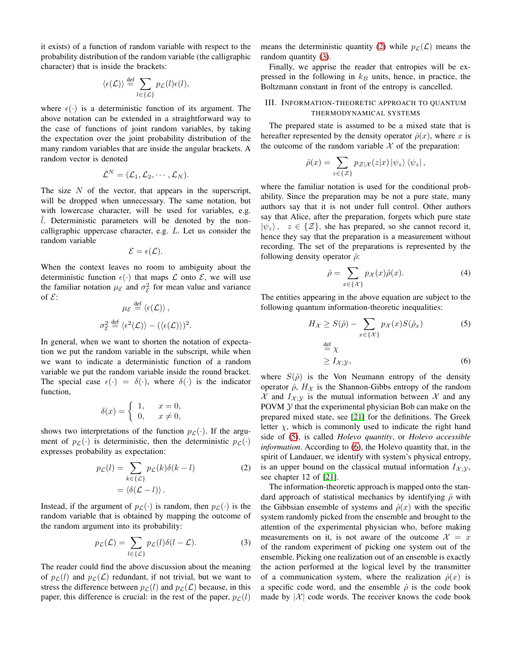it exists) of a function of random variable with respect to the probability distribution of the random variable (the calligraphic character) that is inside the brackets:

$$
\langle \epsilon(\mathcal{L}) \rangle \stackrel{\text{def}}{=} \sum_{l \in \{\mathcal{L}\}} p_{\mathcal{L}}(l) \epsilon(l),
$$

where  $\epsilon(\cdot)$  is a deterministic function of its argument. The above notation can be extended in a straightforward way to the case of functions of joint random variables, by taking the expectation over the joint probability distribution of the many random variables that are inside the angular brackets. A random vector is denoted

$$
\bar{\mathcal{L}}^N=(\mathcal{L}_1,\mathcal{L}_2,\cdots,\mathcal{L}_N).
$$

The size  $N$  of the vector, that appears in the superscript, will be dropped when unnecessary. The same notation, but with lowercase character, will be used for variables, e.g.  $\overline{l}$ . Deterministic parameters will be denoted by the noncalligraphic uppercase character, e.g. L. Let us consider the random variable

$$
\mathcal{E}=\epsilon(\mathcal{L}).
$$

When the context leaves no room to ambiguity about the deterministic function  $\epsilon(\cdot)$  that maps  $\mathcal L$  onto  $\mathcal E$ , we will use the familiar notation  $\mu_{\mathcal{E}}$  and  $\sigma_{\mathcal{E}}^2$  for mean value and variance of  $\mathcal{E}$ :

$$
\mu_{\mathcal{E}} \stackrel{\text{def}}{=} \langle \epsilon(\mathcal{L}) \rangle ,
$$

$$
\sigma_{\mathcal{E}}^2 \stackrel{\text{def}}{=} \langle \epsilon^2(\mathcal{L}) \rangle - (\langle \epsilon(\mathcal{L}) \rangle)^2
$$

.

In general, when we want to shorten the notation of expectation we put the random variable in the subscript, while when we want to indicate a deterministic function of a random variable we put the random variable inside the round bracket. The special case  $\epsilon(\cdot) = \delta(\cdot)$ , where  $\delta(\cdot)$  is the indicator function,

$$
\delta(x) = \begin{cases} 1, & x = 0, \\ 0, & x \neq 0, \end{cases}
$$

shows two interpretations of the function  $p_{\mathcal{L}}(\cdot)$ . If the argument of  $p_{\mathcal{L}}(\cdot)$  is deterministic, then the deterministic  $p_{\mathcal{L}}(\cdot)$ expresses probability as expectation:

$$
p_{\mathcal{L}}(l) = \sum_{k \in \{\mathcal{L}\}} p_{\mathcal{L}}(k)\delta(k - l)
$$
  
=  $\langle \delta(\mathcal{L} - l) \rangle$ . (2)

Instead, if the argument of  $p_{\mathcal{L}}(\cdot)$  is random, then  $p_{\mathcal{L}}(\cdot)$  is the random variable that is obtained by mapping the outcome of the random argument into its probability:

$$
p_{\mathcal{L}}(\mathcal{L}) = \sum_{l \in \{\mathcal{L}\}} p_{\mathcal{L}}(l)\delta(l - \mathcal{L}).
$$
 (3)

The reader could find the above discussion about the meaning of  $p_{\ell}(l)$  and  $p_{\ell}(\mathcal{L})$  redundant, if not trivial, but we want to stress the difference between  $p_{\mathcal{L}}(l)$  and  $p_{\mathcal{L}}(\mathcal{L})$  because, in this paper, this difference is crucial: in the rest of the paper,  $p_{\mathcal{L}}(l)$ 

means the deterministic quantity [\(2\)](#page-2-0) while  $p_{\mathcal{L}}(\mathcal{L})$  means the random quantity [\(3\)](#page-2-1).

Finally, we apprise the reader that entropies will be expressed in the following in  $k_B$  units, hence, in practice, the Boltzmann constant in front of the entropy is cancelled.

## III. INFORMATION-THEORETIC APPROACH TO QUANTUM THERMODYNAMICAL SYSTEMS

The prepared state is assumed to be a mixed state that is hereafter represented by the density operator  $\hat{\rho}(x)$ , where x is the outcome of the random variable  $X$  of the preparation:

$$
\hat{\rho}(x) = \sum_{z \in \{\mathcal{Z}\}} p_{\mathcal{Z}|\mathcal{X}}(z|x) |\psi_z\rangle \langle \psi_z|,
$$

where the familiar notation is used for the conditional probability. Since the preparation may be not a pure state, many authors say that it is not under full control. Other authors say that Alice, after the preparation, forgets which pure state  $|\psi_z\rangle$ ,  $z \in \{\mathcal{Z}\}\$ , she has prepared, so she cannot record it, hence they say that the preparation is a measurement without recording. The set of the preparations is represented by the following density operator  $\hat{\rho}$ :

<span id="page-2-4"></span><span id="page-2-2"></span>
$$
\hat{\rho} = \sum_{x \in \{\mathcal{X}\}} p_{\mathcal{X}}(x)\hat{\rho}(x). \tag{4}
$$

The entities appearing in the above equation are subject to the following quantum information-theoretic inequalities:

<span id="page-2-3"></span>
$$
H_{\mathcal{X}} \ge S(\hat{\rho}) - \sum_{x \in \{\mathcal{X}\}} p_{\mathcal{X}}(x) S(\hat{\rho}_x)
$$
(5)  

$$
\stackrel{\text{def}}{=} \chi
$$
  

$$
\ge I_{\mathcal{X};\mathcal{Y}},
$$
(6)

where  $S(\hat{\rho})$  is the Von Neumann entropy of the density operator  $\hat{\rho}$ ,  $H_{\mathcal{X}}$  is the Shannon-Gibbs entropy of the random  $\mathcal X$  and  $I_{\mathcal X;Y}$  is the mutual information between  $\mathcal X$  and any POVM  $Y$  that the experimental physician Bob can make on the prepared mixed state, see [\[21\]](#page-16-20) for the definitions. The Greek letter  $\chi$ , which is commonly used to indicate the right hand side of [\(5\)](#page-2-2), is called *Holevo quantity*, or *Holevo accessible information*. According to [\(6\)](#page-2-3), the Holevo quantity that, in the spirit of Landauer, we identify with system's physical entropy, is an upper bound on the classical mutual information  $I_{\mathcal{X}}$ . see chapter 12 of [\[21\]](#page-16-20).

<span id="page-2-1"></span><span id="page-2-0"></span>The information-theoretic approach is mapped onto the standard approach of statistical mechanics by identifying  $\hat{\rho}$  with the Gibbsian ensemble of systems and  $\hat{\rho}(x)$  with the specific system randomly picked from the ensemble and brought to the attention of the experimental physician who, before making measurements on it, is not aware of the outcome  $\mathcal{X} = x$ of the random experiment of picking one system out of the ensemble. Picking one realization out of an ensemble is exactly the action performed at the logical level by the transmitter of a communication system, where the realization  $\hat{\rho}(x)$  is a specific code word, and the ensemble  $\hat{\rho}$  is the code book made by  $|\mathcal{X}|$  code words. The receiver knows the code book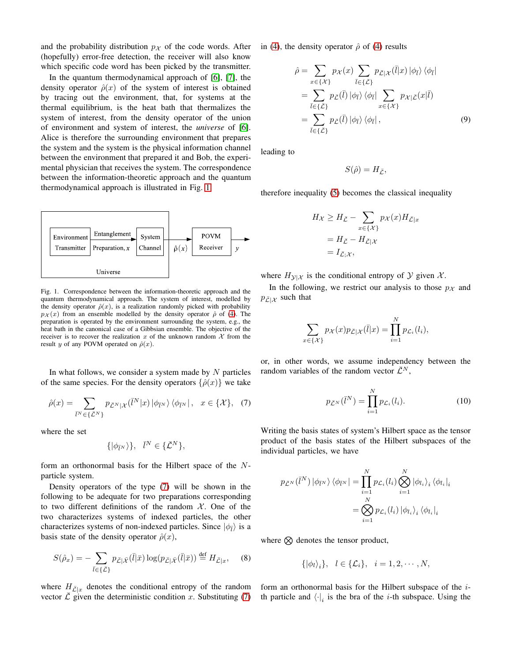and the probability distribution  $p<sub>X</sub>$  of the code words. After (hopefully) error-free detection, the receiver will also know which specific code word has been picked by the transmitter.

In the quantum thermodynamical approach of [\[6\]](#page-16-5), [\[7\]](#page-16-6), the density operator  $\hat{\rho}(x)$  of the system of interest is obtained by tracing out the environment, that, for systems at the thermal equilibrium, is the heat bath that thermalizes the system of interest, from the density operator of the union of environment and system of interest, the *universe* of [\[6\]](#page-16-5). Alice is therefore the surrounding environment that prepares the system and the system is the physical information channel between the environment that prepared it and Bob, the experimental physician that receives the system. The correspondence between the information-theoretic approach and the quantum thermodynamical approach is illustrated in Fig. [1.](#page-3-0)



<span id="page-3-0"></span>Fig. 1. Correspondence between the information-theoretic approach and the quantum thermodynamical approach. The system of interest, modelled by the density operator  $\hat{\rho}(x)$ , is a realization randomly picked with probability  $p_{\mathcal{X}}(x)$  from an ensemble modelled by the density operator  $\hat{\rho}$  of [\(4\)](#page-2-4). The preparation is operated by the environment surrounding the system, e.g., the heat bath in the canonical case of a Gibbsian ensemble. The objective of the receiver is to recover the realization x of the unknown random  $X$  from the result y of any POVM operated on  $\hat{\rho}(x)$ .

In what follows, we consider a system made by  $N$  particles of the same species. For the density operators  $\{\hat{\rho}(x)\}\$ we take

<span id="page-3-1"></span>
$$
\hat{\rho}(x) = \sum_{\bar{l}^N \in \{\bar{\mathcal{L}}^N\}} p_{\bar{\mathcal{L}}^N | \mathcal{X}}(\bar{l}^N | x) | \phi_{\bar{l}^N} \rangle \langle \phi_{\bar{l}^N} | , x \in \{ \mathcal{X} \}, (7)
$$

where the set

$$
\{|\phi_{\bar{l}^N}\rangle\}, \quad \bar{l}^N \in \{\bar{\mathcal{L}}^N\},
$$

form an orthonormal basis for the Hilbert space of the Nparticle system.

Density operators of the type [\(7\)](#page-3-1) will be shown in the following to be adequate for two preparations corresponding to two different definitions of the random  $X$ . One of the two characterizes systems of indexed particles, the other characterizes systems of non-indexed particles. Since  $|\phi_{\bar{l}}\rangle$  is a basis state of the density operator  $\hat{\rho}(x)$ ,

$$
S(\hat{\rho}_x) = -\sum_{\bar{l} \in {\{\bar{\mathcal{L}}}\}} p_{\bar{\mathcal{L}} | \bar{\mathcal{X}}}(\bar{l} | \bar{x}) \log(p_{\bar{\mathcal{L}} | \bar{\mathcal{X}}}(\bar{l} | \bar{x})) \stackrel{\text{def}}{=} H_{\bar{\mathcal{L}} | x}, \quad (8)
$$

where  $H_{\bar{\mathcal{L}}|x}$  denotes the conditional entropy of the random vector  $\overline{\mathcal{L}}$  given the deterministic condition x. Substituting [\(7\)](#page-3-1)

in [\(4\)](#page-2-4), the density operator  $\hat{\rho}$  of [\(4\)](#page-2-4) results

$$
\hat{\rho} = \sum_{x \in \{\mathcal{X}\}} p_{\mathcal{X}}(x) \sum_{\bar{l} \in \{\bar{\mathcal{L}}\}} p_{\bar{\mathcal{L}}|\mathcal{X}}(\bar{l}|x) |\phi_{\bar{l}}\rangle \langle \phi_{\bar{l}}| \n= \sum_{\bar{l} \in \{\bar{\mathcal{L}}\}} p_{\bar{\mathcal{L}}}(\bar{l}) |\phi_{\bar{l}}\rangle \langle \phi_{\bar{l}}| \sum_{x \in \{\mathcal{X}\}} p_{\mathcal{X}|\bar{\mathcal{L}}}(x|\bar{l}) \n= \sum_{\bar{l} \in \{\bar{\mathcal{L}}\}} p_{\bar{\mathcal{L}}}(\bar{l}) |\phi_{\bar{l}}\rangle \langle \phi_{\bar{l}}|, \tag{9}
$$

leading to

<span id="page-3-2"></span>
$$
S(\hat{\rho})=H_{\bar{\mathcal{L}}},
$$

therefore inequality [\(5\)](#page-2-2) becomes the classical inequality

$$
H_{\mathcal{X}} \ge H_{\bar{\mathcal{L}}} - \sum_{x \in \{\mathcal{X}\}} p_{\mathcal{X}}(x) H_{\bar{\mathcal{L}}|x}
$$
  
=  $H_{\bar{\mathcal{L}}} - H_{\bar{\mathcal{L}}|\mathcal{X}}$   
=  $I_{\bar{\mathcal{L}};\mathcal{X}},$ 

where  $H_{\mathcal{Y}|\mathcal{X}}$  is the conditional entropy of  $\mathcal{Y}$  given  $\mathcal{X}$ .

In the following, we restrict our analysis to those  $p_{\mathcal{X}}$  and  $p_{\bar{\mathcal{L}}|\mathcal{X}}$  such that

$$
\sum_{x \in \{\mathcal{X}\}} p_{\mathcal{X}}(x) p_{\bar{\mathcal{L}}|\mathcal{X}}(\bar{l}|x) = \prod_{i=1}^N p_{\mathcal{L}_i}(l_i),
$$

or, in other words, we assume independency between the random variables of the random vector  $\mathcal{L}^N$ ,

<span id="page-3-3"></span>
$$
p_{\bar{\mathcal{L}}^{N}}(\bar{l}^{N}) = \prod_{i=1}^{N} p_{\mathcal{L}_{i}}(l_{i}).
$$
 (10)

Writing the basis states of system's Hilbert space as the tensor product of the basis states of the Hilbert subspaces of the individual particles, we have

$$
p_{\bar{\mathcal{L}}^{N}}(\bar{l}^{N}) \left| \phi_{\bar{l}^{N}} \right\rangle \left\langle \phi_{\bar{l}^{N}} \right| = \prod_{i=1}^{N} p_{\mathcal{L}_{i}}(l_{i}) \bigotimes_{i=1}^{N} \left| \phi_{l_{i}} \right\rangle_{i} \left\langle \phi_{l_{i}} \right|_{i}
$$

$$
= \bigotimes_{i=1}^{N} p_{\mathcal{L}_{i}}(l_{i}) \left| \phi_{l_{i}} \right\rangle_{i} \left\langle \phi_{l_{i}} \right|_{i}
$$

where  $\otimes$  denotes the tensor product,

$$
\{|\phi_l\rangle_i\}, \quad l \in \{\mathcal{L}_i\}, \quad i = 1, 2, \cdots, N,
$$

form an orthonormal basis for the Hilbert subspace of the ith particle and  $\langle \cdot |i \rangle$  is the bra of the *i*-th subspace. Using the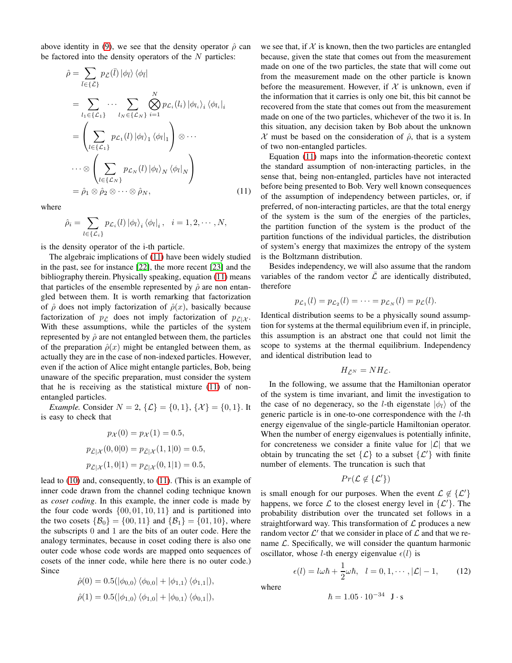above identity in [\(9\)](#page-3-2), we see that the density operator  $\hat{\rho}$  can be factored into the density operators of the  $N$  particles:

$$
\hat{\rho} = \sum_{\bar{l} \in \{\bar{\mathcal{L}}\}} p_{\bar{\mathcal{L}}}(\bar{l}) |\phi_{\bar{l}}\rangle \langle \phi_{\bar{l}}|
$$
\n
$$
= \sum_{l_1 \in \{\mathcal{L}_1\}} \cdots \sum_{l_N \in \{\mathcal{L}_N\}} \bigotimes_{i=1}^N p_{\mathcal{L}_i}(l_i) |\phi_{l_i}\rangle_i \langle \phi_{l_i}|_i
$$
\n
$$
= \left(\sum_{l \in \{\mathcal{L}_1\}} p_{\mathcal{L}_1}(l) |\phi_{l}\rangle_1 \langle \phi_{l}|_1 \right) \otimes \cdots
$$
\n
$$
\cdots \otimes \left(\sum_{l \in \{\mathcal{L}_N\}} p_{\mathcal{L}_N}(l) |\phi_{l}\rangle_N \langle \phi_{l}|_N \right)
$$
\n
$$
= \hat{\rho}_1 \otimes \hat{\rho}_2 \otimes \cdots \otimes \hat{\rho}_N, \qquad (11)
$$

where

$$
\hat{\rho}_i = \sum_{l \in \{\mathcal{L}_i\}} p_{\mathcal{L}_i}(l) \left| \phi_l \right\rangle_i \left\langle \phi_l \right|_i, \quad i = 1, 2, \cdots, N,
$$

is the density operator of the i-th particle.

The algebraic implications of [\(11\)](#page-4-0) have been widely studied in the past, see for instance [\[22\]](#page-16-21), the more recent [\[23\]](#page-16-22) and the bibliography therein. Physically speaking, equation [\(11\)](#page-4-0) means that particles of the ensemble represented by  $\hat{\rho}$  are non entangled between them. It is worth remarking that factorization of  $\hat{\rho}$  does not imply factorization of  $\hat{\rho}(x)$ , basically because factorization of  $p_{\bar{C}}$  does not imply factorization of  $p_{\bar{C}|\mathcal{X}}$ . With these assumptions, while the particles of the system represented by  $\hat{\rho}$  are not entangled between them, the particles of the preparation  $\hat{\rho}(x)$  might be entangled between them, as actually they are in the case of non-indexed particles. However, even if the action of Alice might entangle particles, Bob, being unaware of the specific preparation, must consider the system that he is receiving as the statistical mixture [\(11\)](#page-4-0) of nonentangled particles.

*Example.* Consider  $N = 2$ ,  $\{\mathcal{L}\} = \{0, 1\}$ ,  $\{\mathcal{X}\} = \{0, 1\}$ . It is easy to check that

$$
p_{\mathcal{X}}(0) = p_{\mathcal{X}}(1) = 0.5,
$$
  
\n
$$
p_{\bar{\mathcal{L}}|\mathcal{X}}(0,0|0) = p_{\bar{\mathcal{L}}|\mathcal{X}}(1,1|0) = 0.5,
$$
  
\n
$$
p_{\bar{\mathcal{L}}|\mathcal{X}}(1,0|1) = p_{\bar{\mathcal{L}}|\mathcal{X}}(0,1|1) = 0.5,
$$

lead to [\(10\)](#page-3-3) and, consequently, to [\(11\)](#page-4-0). (This is an example of inner code drawn from the channel coding technique known as *coset coding*. In this example, the inner code is made by the four code words  $\{00, 01, 10, 11\}$  and is partitioned into the two cosets  $\{\mathcal{B}_0\} = \{00, 11\}$  and  $\{\mathcal{B}_1\} = \{01, 10\}$ , where the subscripts 0 and 1 are the bits of an outer code. Here the analogy terminates, because in coset coding there is also one outer code whose code words are mapped onto sequences of cosets of the inner code, while here there is no outer code.) Since

$$
\hat{\rho}(0) = 0.5(|\phi_{0,0}\rangle \langle \phi_{0,0}| + |\phi_{1,1}\rangle \langle \phi_{1,1}|), \n\hat{\rho}(1) = 0.5(|\phi_{1,0}\rangle \langle \phi_{1,0}| + |\phi_{0,1}\rangle \langle \phi_{0,1}|),
$$

we see that, if  $X$  is known, then the two particles are entangled because, given the state that comes out from the measurement made on one of the two particles, the state that will come out from the measurement made on the other particle is known before the measurement. However, if  $X$  is unknown, even if the information that it carries is only one bit, this bit cannot be recovered from the state that comes out from the measurement made on one of the two particles, whichever of the two it is. In this situation, any decision taken by Bob about the unknown  $\mathcal X$  must be based on the consideration of  $\hat \rho$ , that is a system of two non-entangled particles.

<span id="page-4-0"></span>Equation [\(11\)](#page-4-0) maps into the information-theoretic context the standard assumption of non-interacting particles, in the sense that, being non-entangled, particles have not interacted before being presented to Bob. Very well known consequences of the assumption of independency between particles, or, if preferred, of non-interacting particles, are that the total energy of the system is the sum of the energies of the particles, the partition function of the system is the product of the partition functions of the individual particles, the distribution of system's energy that maximizes the entropy of the system is the Boltzmann distribution.

Besides independency, we will also assume that the random variables of the random vector  $\overline{\mathcal{L}}$  are identically distributed, therefore

$$
p_{\mathcal{L}_1}(l) = p_{\mathcal{L}_2}(l) = \cdots = p_{\mathcal{L}_N}(l) = p_{\mathcal{L}}(l).
$$

Identical distribution seems to be a physically sound assumption for systems at the thermal equilibrium even if, in principle, this assumption is an abstract one that could not limit the scope to systems at the thermal equilibrium. Independency and identical distribution lead to

$$
H_{\bar{\mathcal{L}}^N}=NH_{\mathcal{L}}.
$$

In the following, we assume that the Hamiltonian operator of the system is time invariant, and limit the investigation to the case of no degeneracy, so the *l*-th eigenstate  $|\phi_l\rangle$  of the generic particle is in one-to-one correspondence with the l-th energy eigenvalue of the single-particle Hamiltonian operator. When the number of energy eigenvalues is potentially infinite, for concreteness we consider a finite value for  $|\mathcal{L}|$  that we obtain by truncating the set  $\{\mathcal{L}\}\$  to a subset  $\{\mathcal{L}'\}\$  with finite number of elements. The truncation is such that

$$
Pr(\mathcal{L} \notin \{\mathcal{L}'\})
$$

is small enough for our purposes. When the event  $\mathcal{L} \notin \{ \mathcal{L}' \}$ happens, we force  $\mathcal L$  to the closest energy level in  $\{\mathcal L'\}$ . The probability distribution over the truncated set follows in a straightforward way. This transformation of  $\mathcal L$  produces a new random vector  $\mathcal{L}'$  that we consider in place of  $\mathcal L$  and that we rename  $\mathcal{L}$ . Specifically, we will consider the quantum harmonic oscillator, whose *l*-th energy eigenvalue  $\epsilon(l)$  is

<span id="page-4-1"></span>
$$
\epsilon(l) = l\omega\hbar + \frac{1}{2}\omega\hbar, \quad l = 0, 1, \cdots, |\mathcal{L}| - 1, \tag{12}
$$

where

$$
\hbar = 1.05 \cdot 10^{-34} \text{ J} \cdot \text{s}
$$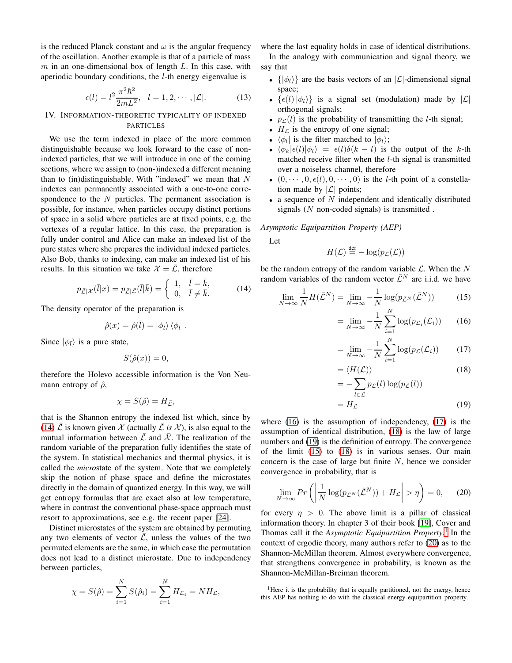is the reduced Planck constant and  $\omega$  is the angular frequency of the oscillation. Another example is that of a particle of mass  $m$  in an one-dimensional box of length  $L$ . In this case, with aperiodic boundary conditions, the  $l$ -th energy eigenvalue is

<span id="page-5-8"></span>
$$
\epsilon(l) = l^2 \frac{\pi^2 \hbar^2}{2mL^2}, \quad l = 1, 2, \cdots, |\mathcal{L}|.
$$
 (13)

# IV. INFORMATION-THEORETIC TYPICALITY OF INDEXED PARTICLES

We use the term indexed in place of the more common distinguishable because we look forward to the case of nonindexed particles, that we will introduce in one of the coming sections, where we assign to (non-)indexed a different meaning than to (in)distinguishable. With "indexed" we mean that  $N$ indexes can permanently associated with a one-to-one correspondence to the  $N$  particles. The permanent association is possible, for instance, when particles occupy distinct portions of space in a solid where particles are at fixed points, e.g. the vertexes of a regular lattice. In this case, the preparation is fully under control and Alice can make an indexed list of the pure states where she prepares the individual indexed particles. Also Bob, thanks to indexing, can make an indexed list of his results. In this situation we take  $\mathcal{X} = \overline{\mathcal{L}}$ , therefore

$$
p_{\bar{\mathcal{L}}|\mathcal{X}}(\bar{l}|x) = p_{\bar{\mathcal{L}}|\bar{\mathcal{L}}}(\bar{l}|\bar{k}) = \begin{cases} 1, & \bar{l} = \bar{k}, \\ 0, & \bar{l} \neq \bar{k}. \end{cases}
$$
(14)

The density operator of the preparation is

$$
\hat{\rho}(x) = \hat{\rho}(\bar{l}) = |\phi_{\bar{l}}\rangle \langle \phi_{\bar{l}}|.
$$

Since  $|\phi_{\bar{l}}\rangle$  is a pure state,

$$
S(\hat{\rho}(x)) = 0,
$$

therefore the Holevo accessible information is the Von Neumann entropy of  $\hat{\rho}$ ,

$$
\chi = S(\hat{\rho}) = H_{\bar{\mathcal{L}}},
$$

that is the Shannon entropy the indexed list which, since by [\(14\)](#page-5-0)  $\bar{\mathcal{L}}$  is known given  $\mathcal{X}$  (actually  $\bar{\mathcal{L}}$  *is*  $\mathcal{X}$ ), is also equal to the mutual information between  $\overline{\mathcal{L}}$  and  $\overline{\mathcal{X}}$ . The realization of the random variable of the preparation fully identifies the state of the system. In statistical mechanics and thermal physics, it is called the *micro*state of the system. Note that we completely skip the notion of phase space and define the microstates directly in the domain of quantized energy. In this way, we will get entropy formulas that are exact also at low temperature, where in contrast the conventional phase-space approach must resort to approximations, see e.g. the recent paper [\[24\]](#page-16-23).

Distinct microstates of the system are obtained by permuting any two elements of vector  $\overline{L}$ , unless the values of the two permuted elements are the same, in which case the permutation does not lead to a distinct microstate. Due to independency between particles,

$$
\chi = S(\hat{\rho}) = \sum_{i=1}^{N} S(\hat{\rho}_i) = \sum_{i=1}^{N} H_{\mathcal{L}_i} = N H_{\mathcal{L}},
$$

where the last equality holds in case of identical distributions. In the analogy with communication and signal theory, we say that

- $\{|\phi_l\rangle\}$  are the basis vectors of an  $|\mathcal{L}|$ -dimensional signal space;
- $\{\epsilon(l)|\phi_l\rangle\}$  is a signal set (modulation) made by  $|\mathcal{L}|$ orthogonal signals;
- $p_{\mathcal{L}}(l)$  is the probability of transmitting the *l*-th signal;
- $H_{\mathcal{L}}$  is the entropy of one signal;
- $\langle \phi_l |$  is the filter matched to  $|\phi_l\rangle$ ;
- $\langle \phi_k | \epsilon(l) | \phi_l \rangle = \epsilon(l) \delta(k-l)$  is the output of the k-th matched receive filter when the l-th signal is transmitted over a noiseless channel, therefore
- $(0, \dots, 0, \epsilon(l), 0, \dots, 0)$  is the *l*-th point of a constellation made by  $|\mathcal{L}|$  points;
- a sequence of  $N$  independent and identically distributed signals  $(N \text{ non-coded signals})$  is transmitted.

*Asymptotic Equipartition Property (AEP)*

Let

$$
H(\mathcal{L}) \stackrel{\text{def}}{=} -\log(p_{\mathcal{L}}(\mathcal{L}))
$$

<span id="page-5-0"></span>be the random entropy of the random variable  $\mathcal L$ . When the N random variables of the random vector  $\bar{\mathcal{L}}^N$  are i.i.d. we have

$$
\lim_{N \to \infty} \frac{1}{N} H(\bar{\mathcal{L}}^N) = \lim_{N \to \infty} -\frac{1}{N} \log(p_{\bar{\mathcal{L}}^N}(\bar{\mathcal{L}}^N))
$$
(15)

<span id="page-5-5"></span><span id="page-5-1"></span>
$$
= \lim_{N \to \infty} -\frac{1}{N} \sum_{i=1}^{N} \log(p_{\mathcal{L}_i}(\mathcal{L}_i)) \qquad (16)
$$

<span id="page-5-2"></span>
$$
= \lim_{N \to \infty} -\frac{1}{N} \sum_{i=1}^{N} \log(p_{\mathcal{L}}(\mathcal{L}_i)) \qquad (17)
$$

<span id="page-5-3"></span>
$$
=\langle H(\mathcal{L})\rangle\tag{18}
$$

<span id="page-5-4"></span>
$$
= -\sum_{l \in \mathcal{L}} p_{\mathcal{L}}(l) \log(p_{\mathcal{L}}(l))
$$

$$
= H_{\mathcal{L}} \tag{19}
$$

where  $(16)$  is the assumption of independency,  $(17)$  is the assumption of identical distribution, [\(18\)](#page-5-3) is the law of large numbers and [\(19\)](#page-5-4) is the definition of entropy. The convergence of the limit [\(15\)](#page-5-5) to [\(18\)](#page-5-3) is in various senses. Our main concern is the case of large but finite  $N$ , hence we consider convergence in probability, that is

<span id="page-5-7"></span>
$$
\lim_{N \to \infty} Pr\left( \left| \frac{1}{N} \log(p_{\bar{\mathcal{L}}^N}(\bar{\mathcal{L}}^N)) + H_{\mathcal{L}} \right| > \eta \right) = 0, \quad (20)
$$

for every  $\eta > 0$ . The above limit is a pillar of classical information theory. In chapter 3 of their book [\[19\]](#page-16-18), Cover and Thomas call it the *Asymptotic Equipartition Property*. [1](#page-5-6) In the context of ergodic theory, many authors refer to [\(20\)](#page-5-7) as to the Shannon-McMillan theorem. Almost everywhere convergence, that strengthens convergence in probability, is known as the Shannon-McMillan-Breiman theorem.

<span id="page-5-6"></span><sup>&</sup>lt;sup>1</sup>Here it is the probability that is equally partitioned, not the energy, hence this AEP has nothing to do with the classical energy equipartition property.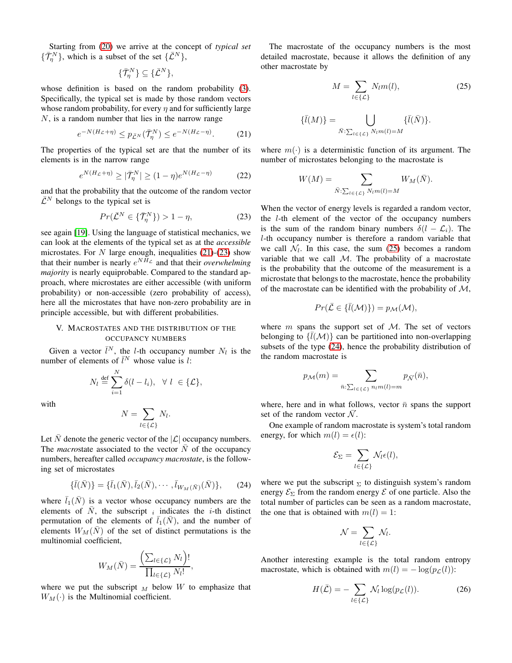Starting from [\(20\)](#page-5-7) we arrive at the concept of *typical set*  $\{\bar{\mathcal{T}}_{{\eta}}^{N}\}\text{, which is a subset of the set }\{\bar{\mathcal{L}}^{N}\}\text{,}$ 

$$
\{\bar{\mathcal{T}}_{{\eta}}^N\} \subseteq \{\bar{\mathcal{L}}^N\},\
$$

whose definition is based on the random probability [\(3\)](#page-2-1). Specifically, the typical set is made by those random vectors whose random probability, for every  $\eta$  and for sufficiently large  $N$ , is a random number that lies in the narrow range

<span id="page-6-0"></span>
$$
e^{-N(H_{\mathcal{L}}+\eta)} \le p_{\bar{\mathcal{L}}^N}(\bar{\mathcal{T}}_\eta^N) \le e^{-N(H_{\mathcal{L}}-\eta)}.
$$
 (21)

The properties of the typical set are that the number of its elements is in the narrow range

$$
e^{N(H_{\mathcal{L}} + \eta)} \ge |\bar{\mathcal{T}}_{\eta}^N| \ge (1 - \eta)e^{N(H_{\mathcal{L}} - \eta)} \tag{22}
$$

and that the probability that the outcome of the random vector  $\bar{\mathcal{L}}^N$  belongs to the typical set is

<span id="page-6-1"></span>
$$
Pr(\bar{\mathcal{L}}^N \in \{\bar{\mathcal{T}}^N_\eta\}) > 1 - \eta,\tag{23}
$$

see again [\[19\]](#page-16-18). Using the language of statistical mechanics, we can look at the elements of the typical set as at the *accessible* microstates. For  $N$  large enough, inequalities [\(21\)](#page-6-0)-[\(23\)](#page-6-1) show that their number is nearly  $e^{NH_{\mathcal{L}}}$  and that their *overwhelming majority* is nearly equiprobable. Compared to the standard approach, where microstates are either accessible (with uniform probability) or non-accessible (zero probability of access), here all the microstates that have non-zero probability are in principle accessible, but with different probabilities.

## V. MACROSTATES AND THE DISTRIBUTION OF THE OCCUPANCY NUMBERS

Given a vector  $\bar{l}^N$ , the *l*-th occupancy number  $N_l$  is the number of elements of  $\bar{l}^N$  whose value is l:

$$
N_l \stackrel{\text{def}}{=} \sum_{i=1}^N \delta(l - l_i), \ \ \forall \ l \ \in \{\mathcal{L}\},
$$

with

$$
N = \sum_{l \in \{\mathcal{L}\}} N_l.
$$

Let  $\overline{N}$  denote the generic vector of the  $|\mathcal{L}|$  occupancy numbers. The *macrostate* associated to the vector  $N$  of the occupancy numbers, hereafter called *occupancy macrostate*, is the following set of microstates

$$
\{\bar{l}(\bar{N})\} = \{\bar{l}_1(\bar{N}), \bar{l}_2(\bar{N}), \cdots, \bar{l}_{W_M(\bar{N})}(\bar{N})\},\qquad(24)
$$

where  $\overline{l}_1(N)$  is a vector whose occupancy numbers are the elements of  $\bar{N}$ , the subscript *i* indicates the *i*-th distinct permutation of the elements of  $\overline{l}_1(N)$ , and the number of elements  $W_M(N)$  of the set of distinct permutations is the multinomial coefficient,

$$
W_M(\bar{N}) = \frac{\left(\sum_{l \in \{\mathcal{L}\}} N_l\right)!}{\prod_{l \in \{\mathcal{L}\}} N_l!},
$$

where we put the subscript  $_M$  below W to emphasize that  $W_M(\cdot)$  is the Multinomial coefficient.

The macrostate of the occupancy numbers is the most detailed macrostate, because it allows the definition of any other macrostate by

<span id="page-6-2"></span>
$$
M = \sum_{l \in \{\mathcal{L}\}} N_l m(l),\tag{25}
$$

$$
\{\bar{l}(M)\} = \bigcup_{\bar{N}: \sum_{l \in \{\mathcal{L}\}} N_l m(l) = M} \{\bar{l}(\bar{N})\}.
$$

where  $m(\cdot)$  is a deterministic function of its argument. The number of microstates belonging to the macrostate is

$$
W(M) = \sum_{\bar{N}:\sum_{l\in\{\mathcal{L}\}}N_l m(l)=M} W_M(\bar{N}).
$$

When the vector of energy levels is regarded a random vector, the  $l$ -th element of the vector of the occupancy numbers is the sum of the random binary numbers  $\delta(l - \mathcal{L}_i)$ . The l-th occupancy number is therefore a random variable that we call  $\mathcal{N}_l$ . In this case, the sum [\(25\)](#page-6-2) becomes a random variable that we call  $M$ . The probability of a macrostate is the probability that the outcome of the measurement is a microstate that belongs to the macrostate, hence the probability of the macrostate can be identified with the probability of  $M$ ,

$$
Pr(\bar{\mathcal{L}} \in \{\bar{l}(\mathcal{M})\}) = p_{\mathcal{M}}(\mathcal{M}),
$$

where  $m$  spans the support set of  $M$ . The set of vectors belonging to  $\{\bar{l}(\mathcal{M})\}$  can be partitioned into non-overlapping subsets of the type [\(24\)](#page-6-3), hence the probability distribution of the random macrostate is

$$
p_{\mathcal{M}}(m) = \sum_{\bar{n}:\sum_{l\in\{\mathcal{L}\}}n_l m(l)=m} p_{\bar{\mathcal{N}}}(\bar{n}),
$$

where, here and in what follows, vector  $\bar{n}$  spans the support set of the random vector  $\overline{\mathcal{N}}$ .

One example of random macrostate is system's total random energy, for which  $m(l) = \epsilon(l)$ :

$$
\mathcal{E}_{\Sigma} = \sum_{l \in \{\mathcal{L}\}} \mathcal{N}_l \epsilon(l),
$$

<span id="page-6-3"></span>where we put the subscript  $\Sigma$  to distinguish system's random energy  $\mathcal{E}_{\Sigma}$  from the random energy  $\mathcal E$  of one particle. Also the total number of particles can be seen as a random macrostate, the one that is obtained with  $m(l) = 1$ :

$$
\mathcal{N} = \sum_{l \in \{\mathcal{L}\}} \mathcal{N}_l.
$$

Another interesting example is the total random entropy macrostate, which is obtained with  $m(l) = -\log(p_{\mathcal{L}}(l))$ :

<span id="page-6-4"></span>
$$
H(\bar{\mathcal{L}}) = -\sum_{l \in \{\mathcal{L}\}} \mathcal{N}_l \log(p_{\mathcal{L}}(l)). \tag{26}
$$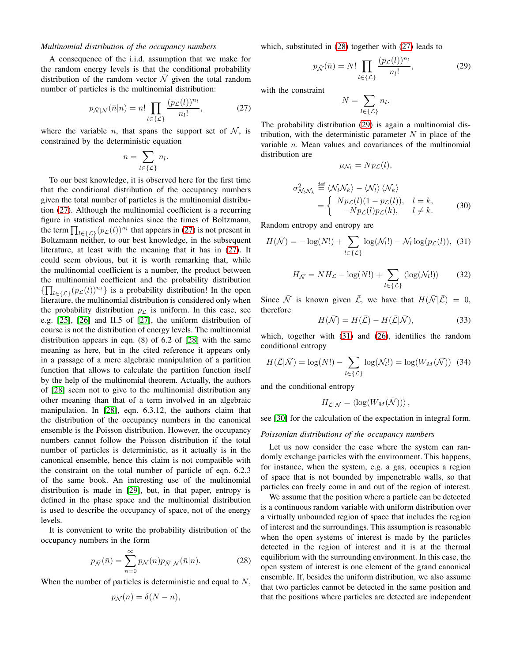## *Multinomial distribution of the occupancy numbers*

A consequence of the i.i.d. assumption that we make for the random energy levels is that the conditional probability distribution of the random vector  $\overline{N}$  given the total random number of particles is the multinomial distribution:

$$
p_{\bar{\mathcal{N}}|\mathcal{N}}(\bar{n}|n) = n! \prod_{l \in \{\mathcal{L}\}} \frac{(p_{\mathcal{L}}(l))^{n_l}}{n_l!},\tag{27}
$$

where the variable n, that spans the support set of  $N$ , is constrained by the deterministic equation

$$
n = \sum_{l \in \{\mathcal{L}\}} n_l.
$$

To our best knowledge, it is observed here for the first time that the conditional distribution of the occupancy numbers given the total number of particles is the multinomial distribution [\(27\)](#page-7-0). Although the multinomial coefficient is a recurring figure in statistical mechanics since the times of Boltzmann, the term  $\prod_{l \in {\{\mathcal{L}\}}}(p_{\mathcal{L}}(l))^{n_l}$  that appears in [\(27\)](#page-7-0) is not present in Boltzmann neither, to our best knowledge, in the subsequent literature, at least with the meaning that it has in [\(27\)](#page-7-0). It could seem obvious, but it is worth remarking that, while the multinomial coefficient is a number, the product between the multinomial coefficient and the probability distribution  $\{\prod_{l\in\{\mathcal{L}\}}(p_{\mathcal{L}}(l))^{n_l}\}\$  is a probability distribution! In the open literature, the multinomial distribution is considered only when the probability distribution  $p<sub>L</sub>$  is uniform. In this case, see e.g. [\[25\]](#page-16-24), [\[26\]](#page-16-25) and II.5 of [\[27\]](#page-16-26), the uniform distribution of course is not the distribution of energy levels. The multinomial distribution appears in eqn. (8) of 6.2 of [\[28\]](#page-16-27) with the same meaning as here, but in the cited reference it appears only in a passage of a mere algebraic manipulation of a partition function that allows to calculate the partition function itself by the help of the multinomial theorem. Actually, the authors of [\[28\]](#page-16-27) seem not to give to the multinomial distribution any other meaning than that of a term involved in an algebraic manipulation. In [\[28\]](#page-16-27), eqn. 6.3.12, the authors claim that the distribution of the occupancy numbers in the canonical ensemble is the Poisson distribution. However, the occupancy numbers cannot follow the Poisson distribution if the total number of particles is deterministic, as it actually is in the canonical ensemble, hence this claim is not compatible with the constraint on the total number of particle of eqn. 6.2.3 of the same book. An interesting use of the multinomial distribution is made in [\[29\]](#page-16-28), but, in that paper, entropy is defined in the phase space and the multinomial distribution is used to describe the occupancy of space, not of the energy levels.

It is convenient to write the probability distribution of the occupancy numbers in the form

$$
p_{\bar{\mathcal{N}}}(\bar{n}) = \sum_{n=0}^{\infty} p_{\mathcal{N}}(n) p_{\bar{\mathcal{N}}|\mathcal{N}}(\bar{n}|n). \tag{28}
$$

When the number of particles is deterministic and equal to N,

$$
p_{\mathcal{N}}(n) = \delta(N - n),
$$

which, substituted in [\(28\)](#page-7-1) together with [\(27\)](#page-7-0) leads to

$$
p_{\bar{\mathcal{N}}}(\bar{n}) = N! \prod_{l \in \{\mathcal{L}\}} \frac{(p_{\mathcal{L}}(l))^{n_l}}{n_l!},\tag{29}
$$

<span id="page-7-4"></span><span id="page-7-2"></span>.

<span id="page-7-0"></span>with the constraint

$$
N = \sum_{l \in \{\mathcal{L}\}} n_l
$$

The probability distribution [\(29\)](#page-7-2) is again a multinomial distribution, with the deterministic parameter  $N$  in place of the variable n. Mean values and covariances of the multinomial distribution are

<span id="page-7-3"></span>
$$
\mu_{\mathcal{N}_l} = N p_{\mathcal{L}}(l),
$$

$$
\sigma_{\mathcal{N}_l \mathcal{N}_k}^2 \stackrel{\text{def}}{=} \langle \mathcal{N}_l \mathcal{N}_k \rangle - \langle \mathcal{N}_l \rangle \langle \mathcal{N}_k \rangle
$$
  
= 
$$
\begin{cases} Np_{\mathcal{L}}(l)(1 - p_{\mathcal{L}}(l)), & l = k, \\ -Np_{\mathcal{L}}(l)p_{\mathcal{L}}(k), & l \neq k. \end{cases}
$$
 (30)

Random entropy and entropy are

$$
H(\bar{\mathcal{N}}) = -\log(N!) + \sum_{l \in \{\mathcal{L}\}} \log(\mathcal{N}_l!) - \mathcal{N}_l \log(p_{\mathcal{L}}(l)), \quad (31)
$$

$$
H_{\bar{N}} = NH_{\mathcal{L}} - \log(N!) + \sum_{l \in \{\mathcal{L}\}} \langle \log(\mathcal{N}_l!) \rangle \tag{32}
$$

Since  $\overline{\mathcal{N}}$  is known given  $\overline{\mathcal{L}}$ , we have that  $H(\overline{\mathcal{N}} | \overline{\mathcal{L}}) = 0$ , therefore

<span id="page-7-7"></span><span id="page-7-6"></span>
$$
H(\bar{\mathcal{N}}) = H(\bar{\mathcal{L}}) - H(\bar{\mathcal{L}}|\bar{\mathcal{N}}),\tag{33}
$$

which, together with [\(31\)](#page-7-3) and [\(26\)](#page-6-4), identifies the random conditional entropy

<span id="page-7-5"></span>
$$
H(\overline{\mathcal{L}}|\overline{\mathcal{N}}) = \log(N!) - \sum_{l \in \{\mathcal{L}\}} \log(\mathcal{N}_l!) = \log(W_M(\overline{\mathcal{N}})) \quad (34)
$$

and the conditional entropy

$$
H_{\bar{\mathcal{L}}|\bar{\mathcal{N}}} = \langle \log(W_M(\bar{\mathcal{N}})) \rangle ,
$$

see [\[30\]](#page-16-29) for the calculation of the expectation in integral form.

#### *Poissonian distributions of the occupancy numbers*

Let us now consider the case where the system can randomly exchange particles with the environment. This happens, for instance, when the system, e.g. a gas, occupies a region of space that is not bounded by impenetrable walls, so that particles can freely come in and out of the region of interest.

<span id="page-7-1"></span>We assume that the position where a particle can be detected is a continuous random variable with uniform distribution over a virtually unbounded region of space that includes the region of interest and the surroundings. This assumption is reasonable when the open systems of interest is made by the particles detected in the region of interest and it is at the thermal equilibrium with the surrounding environment. In this case, the open system of interest is one element of the grand canonical ensemble. If, besides the uniform distribution, we also assume that two particles cannot be detected in the same position and that the positions where particles are detected are independent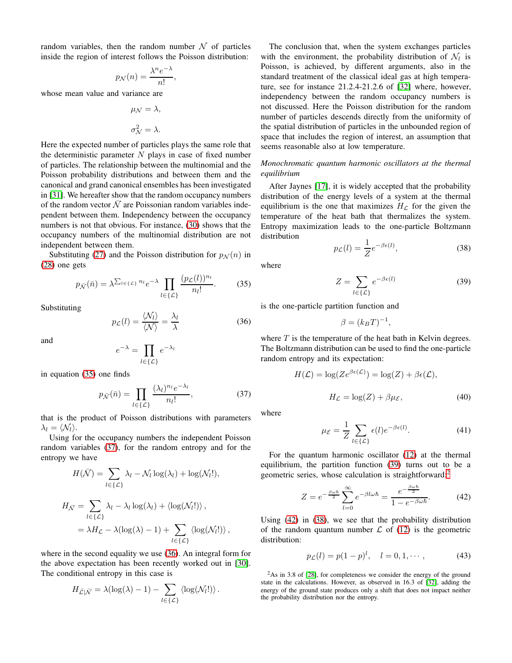random variables, then the random number  $N$  of particles inside the region of interest follows the Poisson distribution:

$$
p_{\mathcal{N}}(n) = \frac{\lambda^n e^{-\lambda}}{n!}
$$

,

whose mean value and variance are

$$
\mu_{\mathcal{N}} = \lambda,
$$
  

$$
\sigma_{\mathcal{N}}^2 = \lambda.
$$

Here the expected number of particles plays the same role that the deterministic parameter  $N$  plays in case of fixed number of particles. The relationship between the multinomial and the Poisson probability distributions and between them and the canonical and grand canonical ensembles has been investigated in [\[31\]](#page-16-30). We hereafter show that the random occupancy numbers of the random vector  $\overline{\mathcal{N}}$  are Poissonian random variables independent between them. Independency between the occupancy numbers is not that obvious. For instance, [\(30\)](#page-7-4) shows that the occupancy numbers of the multinomial distribution are not independent between them.

Substituting [\(27\)](#page-7-0) and the Poisson distribution for  $p_{\mathcal{N}}(n)$  in [\(28\)](#page-7-1) one gets

$$
p_{\bar{\mathcal{N}}}(\bar{n}) = \lambda^{\sum_{l \in \{\mathcal{L}\}} n_l} e^{-\lambda} \prod_{l \in \{\mathcal{L}\}} \frac{(p_{\mathcal{L}}(l))^{n_l}}{n_l!}.
$$
 (35)

Substituting

<span id="page-8-2"></span>
$$
p_{\mathcal{L}}(l) = \frac{\langle \mathcal{N}_l \rangle}{\langle \mathcal{N} \rangle} = \frac{\lambda_l}{\lambda}
$$
 (36)

and

$$
e^{-\lambda} = \prod_{l \in \{\mathcal{L}\}} e^{-\lambda_l}
$$

in equation [\(35\)](#page-8-0) one finds

$$
p_{\bar{\mathcal{N}}}(\bar{n}) = \prod_{l \in \{\mathcal{L}\}} \frac{(\lambda_l)^{n_l} e^{-\lambda_l}}{n_l!},\tag{37}
$$

that is the product of Poisson distributions with parameters  $\lambda_l = \langle \mathcal{N}_l \rangle$ .

Using for the occupancy numbers the independent Poisson random variables [\(37\)](#page-8-1), for the random entropy and for the entropy we have

$$
H(\bar{\mathcal{N}}) = \sum_{l \in \{\mathcal{L}\}} \lambda_l - \mathcal{N}_l \log(\lambda_l) + \log(\mathcal{N}_l!),
$$
  
\n
$$
H_{\bar{\mathcal{N}}} = \sum_{l \in \{\mathcal{L}\}} \lambda_l - \lambda_l \log(\lambda_l) + \langle \log(\mathcal{N}_l!) \rangle,
$$
  
\n
$$
= \lambda H_{\mathcal{L}} - \lambda(\log(\lambda) - 1) + \sum_{l \in \{\mathcal{L}\}} \langle \log(\mathcal{N}_l!) \rangle,
$$

where in the second equality we use [\(36\)](#page-8-2). An integral form for the above expectation has been recently worked out in [\[30\]](#page-16-29). The conditional entropy in this case is

$$
H_{\bar{\mathcal{L}}|\bar{\mathcal{N}}} = \lambda(\log(\lambda) - 1) - \sum_{l \in \{\mathcal{L}\}} \langle \log(\mathcal{N}_l!) \rangle.
$$

The conclusion that, when the system exchanges particles with the environment, the probability distribution of  $\mathcal{N}_l$  is Poisson, is achieved, by different arguments, also in the standard treatment of the classical ideal gas at high temperature, see for instance 21.2.4-21.2.6 of [\[32\]](#page-16-31) where, however, independency between the random occupancy numbers is not discussed. Here the Poisson distribution for the random number of particles descends directly from the uniformity of the spatial distribution of particles in the unbounded region of space that includes the region of interest, an assumption that seems reasonable also at low temperature.

## *Monochromatic quantum harmonic oscillators at the thermal equilibrium*

After Jaynes [\[17\]](#page-16-16), it is widely accepted that the probability distribution of the energy levels of a system at the thermal equilibrium is the one that maximizes  $H<sub>L</sub>$  for the given the temperature of the heat bath that thermalizes the system. Entropy maximization leads to the one-particle Boltzmann distribution

<span id="page-8-6"></span>
$$
p_{\mathcal{L}}(l) = \frac{1}{Z} e^{-\beta \epsilon(l)},
$$
\n(38)

<span id="page-8-0"></span>where

<span id="page-8-3"></span>
$$
Z = \sum_{l \in \{\mathcal{L}\}} e^{-\beta \epsilon(l)} \tag{39}
$$

is the one-particle partition function and

<span id="page-8-8"></span>
$$
\beta = (k_B T)^{-1},
$$

where  $T$  is the temperature of the heat bath in Kelvin degrees. The Boltzmann distribution can be used to find the one-particle random entropy and its expectation:

$$
H(\mathcal{L}) = \log(Ze^{\beta \epsilon(\mathcal{L})}) = \log(Z) + \beta \epsilon(\mathcal{L}),
$$

$$
H_{\mathcal{L}} = \log(Z) + \beta \mu_{\mathcal{E}},
$$
(40)

<span id="page-8-1"></span>where

<span id="page-8-9"></span>
$$
\mu_{\mathcal{E}} = \frac{1}{Z} \sum_{l \in \{\mathcal{L}\}} \epsilon(l) e^{-\beta \epsilon(l)}.
$$
\n(41)

For the quantum harmonic oscillator [\(12\)](#page-4-1) at the thermal equilibrium, the partition function [\(39\)](#page-8-3) turns out to be a geometric series, whose calculation is straightforward:[2](#page-8-4)

<span id="page-8-5"></span>
$$
Z = e^{-\frac{\beta \omega \hbar}{2}} \sum_{l=0}^{\infty} e^{-\beta l \omega \hbar} = \frac{e^{-\frac{\beta \omega \hbar}{2}}}{1 - e^{-\beta \omega \hbar}}.
$$
 (42)

Using [\(42\)](#page-8-5) in [\(38\)](#page-8-6), we see that the probability distribution of the random quantum number  $\mathcal L$  of [\(12\)](#page-4-1) is the geometric distribution:

<span id="page-8-7"></span>
$$
p_{\mathcal{L}}(l) = p(1-p)^{l}, \quad l = 0, 1, \cdots,
$$
 (43)

<span id="page-8-4"></span> $^{2}$ As in 3.8 of [\[28\]](#page-16-27), for completeness we consider the energy of the ground state in the calculations. However, as observed in 16.3 of [\[32\]](#page-16-31), adding the energy of the ground state produces only a shift that does not impact neither the probability distribution nor the entropy.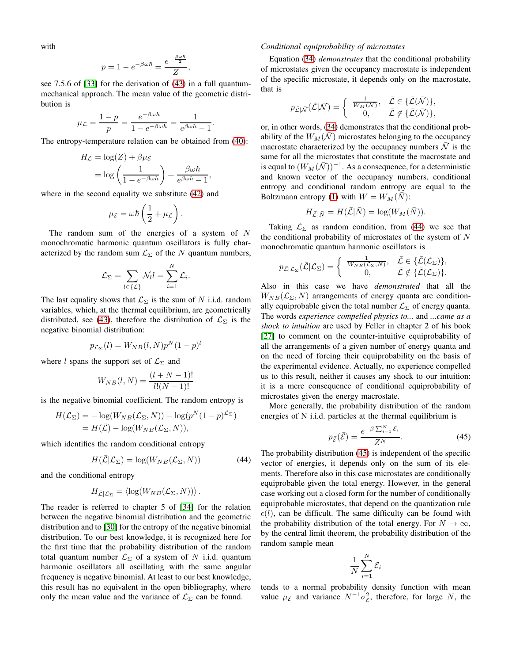with

$$
p = 1 - e^{-\beta \omega \hbar} = \frac{e^{-\frac{\beta \omega \hbar}{2}}}{Z},
$$

see 7.5.6 of [\[33\]](#page-16-32) for the derivation of [\(43\)](#page-8-7) in a full quantummechanical approach. The mean value of the geometric distribution is

$$
\mu_{\mathcal{L}} = \frac{1-p}{p} = \frac{e^{-\beta \omega \hbar}}{1 - e^{-\beta \omega \hbar}} = \frac{1}{e^{\beta \omega \hbar} - 1}.
$$

The entropy-temperature relation can be obtained from [\(40\)](#page-8-8):

$$
H_{\mathcal{L}} = \log(Z) + \beta \mu_{\mathcal{E}}
$$
  
=  $\log \left( \frac{1}{1 - e^{-\beta \omega \hbar}} \right) + \frac{\beta \omega \hbar}{e^{\beta \omega \hbar} - 1},$ 

where in the second equality we substitute [\(42\)](#page-8-5) and

$$
\mu_{\mathcal{E}} = \omega \hbar \left( \frac{1}{2} + \mu_{\mathcal{L}} \right).
$$

The random sum of the energies of a system of N monochromatic harmonic quantum oscillators is fully characterized by the random sum  $\mathcal{L}_{\Sigma}$  of the N quantum numbers,

$$
\mathcal{L}_{\Sigma} = \sum_{l \in \{\mathcal{L}\}} \mathcal{N}_l l = \sum_{i=1}^N \mathcal{L}_i.
$$

The last equality shows that  $\mathcal{L}_{\Sigma}$  is the sum of N i.i.d. random variables, which, at the thermal equilibrium, are geometrically distributed, see [\(43\)](#page-8-7), therefore the distribution of  $\mathcal{L}_{\Sigma}$  is the negative binomial distribution:

$$
p_{\mathcal{L}_{\Sigma}}(l) = W_{NB}(l, N)p^{N}(1-p)^{l}
$$

where l spans the support set of  $\mathcal{L}_{\Sigma}$  and

$$
W_{NB}(l,N) = \frac{(l+N-1)!}{l!(N-1)!}
$$

is the negative binomial coefficient. The random entropy is

$$
H(\mathcal{L}_{\Sigma}) = -\log(W_{NB}(\mathcal{L}_{\Sigma}, N)) - \log(p^{N}(1-p)^{\mathcal{L}_{\Sigma}})
$$
  
=  $H(\bar{\mathcal{L}}) - \log(W_{NB}(\mathcal{L}_{\Sigma}, N)),$ 

which identifies the random conditional entropy

<span id="page-9-0"></span>
$$
H(\bar{\mathcal{L}}|\mathcal{L}_{\Sigma}) = \log(W_{NB}(\mathcal{L}_{\Sigma}, N))
$$
\n(44)

and the conditional entropy

$$
H_{\bar{\mathcal{L}}|\mathcal{L}_{\Sigma}} = \langle \log(W_{NB}(\mathcal{L}_{\Sigma}, N)) \rangle.
$$

The reader is referred to chapter 5 of [\[34\]](#page-16-33) for the relation between the negative binomial distribution and the geometric distribution and to [\[30\]](#page-16-29) for the entropy of the negative binomial distribution. To our best knowledge, it is recognized here for the first time that the probability distribution of the random total quantum number  $\mathcal{L}_{\Sigma}$  of a system of N i.i.d. quantum harmonic oscillators all oscillating with the same angular frequency is negative binomial. At least to our best knowledge, this result has no equivalent in the open bibliography, where only the mean value and the variance of  $\mathcal{L}_{\Sigma}$  can be found.

## *Conditional equiprobability of microstates*

Equation [\(34\)](#page-7-5) *demonstrates* that the conditional probability of microstates given the occupancy macrostate is independent of the specific microstate, it depends only on the macrostate, that is

$$
p_{\bar{\mathcal{L}}|\bar{\mathcal{N}}}(\bar{\mathcal{L}}|\bar{\mathcal{N}}) = \begin{cases} \frac{1}{W_M(\bar{\mathcal{N}})}, & \bar{\mathcal{L}} \in \{\bar{\mathcal{L}}(\bar{\mathcal{N}})\}, \\ 0, & \bar{\mathcal{L}} \notin \{\bar{\mathcal{L}}(\bar{\mathcal{N}})\}, \end{cases}
$$

or, in other words, [\(34\)](#page-7-5) demonstrates that the conditional probability of the  $W_M(\bar{\mathcal{N}})$  microstates belonging to the occupancy macrostate characterized by the occupancy numbers  $\overline{N}$  is the same for all the microstates that constitute the macrostate and is equal to  $(W_M(\bar{\mathcal{N}}))^{-1}$ . As a consequence, for a deterministic and known vector of the occupancy numbers, conditional entropy and conditional random entropy are equal to the Boltzmann entropy [\(1\)](#page-0-0) with  $W = W_M(N)$ :

$$
H_{\bar{\mathcal{L}}|\bar{N}} = H(\bar{\mathcal{L}}|\bar{N}) = \log(W_M(\bar{N})).
$$

Taking  $\mathcal{L}_{\Sigma}$  as random condition, from [\(44\)](#page-9-0) we see that the conditional probability of microstates of the system of  $N$ monochromatic quantum harmonic oscillators is

$$
p_{\bar{\mathcal{L}}|\mathcal{L}_{\Sigma}}(\bar{\mathcal{L}}|\mathcal{L}_{\Sigma}) = \begin{cases} \frac{1}{W_{NB}(\mathcal{L}_{\Sigma},N)}, & \bar{\mathcal{L}} \in \{\bar{\mathcal{L}}(\mathcal{L}_{\Sigma})\}, \\ 0, & \bar{\mathcal{L}} \notin \{\bar{\mathcal{L}}(\mathcal{L}_{\Sigma})\}. \end{cases}
$$

Also in this case we have *demonstrated* that all the  $W_{NB}(\mathcal{L}_\Sigma, N)$  arrangements of energy quanta are conditionally equiprobable given the total number  $\mathcal{L}_{\Sigma}$  of energy quanta. The words *experience compelled physics to...* and *...came as a shock to intuition* are used by Feller in chapter 2 of his book [\[27\]](#page-16-26) to comment on the counter-intuitive equiprobability of all the arrangements of a given number of energy quanta and on the need of forcing their equiprobability on the basis of the experimental evidence. Actually, no experience compelled us to this result, neither it causes any shock to our intuition: it is a mere consequence of conditional equiprobability of microstates given the energy macrostate.

More generally, the probability distribution of the random energies of N i.i.d. particles at the thermal equilibrium is

<span id="page-9-1"></span>
$$
p_{\bar{\mathcal{E}}}(\bar{\mathcal{E}}) = \frac{e^{-\beta \sum_{i=1}^{N} \mathcal{E}_i}}{Z^N}.
$$
 (45)

The probability distribution [\(45\)](#page-9-1) is independent of the specific vector of energies, it depends only on the sum of its elements. Therefore also in this case microstates are conditionally equiprobable given the total energy. However, in the general case working out a closed form for the number of conditionally equiprobable microstates, that depend on the quantization rule  $\epsilon(l)$ , can be difficult. The same difficulty can be found with the probability distribution of the total energy. For  $N \to \infty$ , by the central limit theorem, the probability distribution of the random sample mean

$$
\frac{1}{N} \sum_{i=1}^{N} \mathcal{E}_i
$$

tends to a normal probability density function with mean value  $\mu_{\mathcal{E}}$  and variance  $N^{-1}\sigma_{\mathcal{E}}^2$ , therefore, for large N, the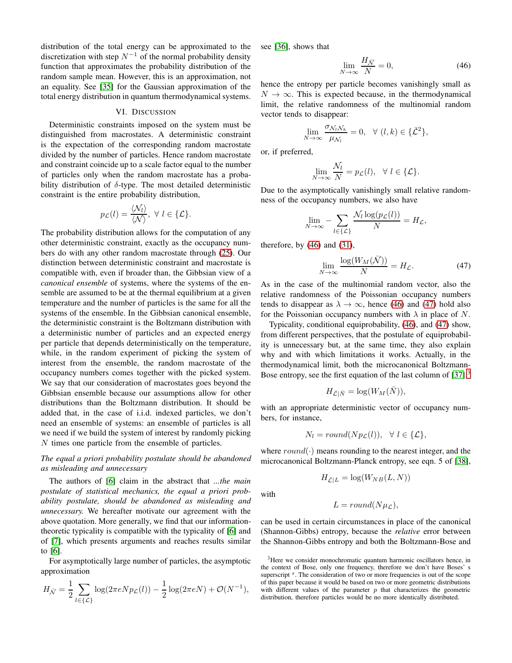distribution of the total energy can be approximated to the discretization with step  $N^{-1}$  of the normal probability density function that approximates the probability distribution of the random sample mean. However, this is an approximation, not an equality. See [\[35\]](#page-16-34) for the Gaussian approximation of the total energy distribution in quantum thermodynamical systems.

#### VI. DISCUSSION

Deterministic constraints imposed on the system must be distinguished from macrostates. A deterministic constraint is the expectation of the corresponding random macrostate divided by the number of particles. Hence random macrostate and constraint coincide up to a scale factor equal to the number of particles only when the random macrostate has a probability distribution of  $\delta$ -type. The most detailed deterministic constraint is the entire probability distribution,

$$
p_{\mathcal{L}}(l) = \frac{\langle \mathcal{N}_l \rangle}{\langle \mathcal{N} \rangle}, \ \forall \ l \in \{\mathcal{L}\}.
$$

The probability distribution allows for the computation of any other deterministic constraint, exactly as the occupancy numbers do with any other random macrostate through [\(25\)](#page-6-2). Our distinction between deterministic constraint and macrostate is compatible with, even if broader than, the Gibbsian view of a *canonical ensemble* of systems, where the systems of the ensemble are assumed to be at the thermal equilibrium at a given temperature and the number of particles is the same for all the systems of the ensemble. In the Gibbsian canonical ensemble, the deterministic constraint is the Boltzmann distribution with a deterministic number of particles and an expected energy per particle that depends deterministically on the temperature, while, in the random experiment of picking the system of interest from the ensemble, the random macrostate of the occupancy numbers comes together with the picked system. We say that our consideration of macrostates goes beyond the Gibbsian ensemble because our assumptions allow for other distributions than the Boltzmann distribution. It should be added that, in the case of i.i.d. indexed particles, we don't need an ensemble of systems: an ensemble of particles is all we need if we build the system of interest by randomly picking N times one particle from the ensemble of particles.

## *The equal a priori probability postulate should be abandoned as misleading and unnecessary*

The authors of [\[6\]](#page-16-5) claim in the abstract that *...the main postulate of statistical mechanics, the equal a priori probability postulate, should be abandoned as misleading and unnecessary.* We hereafter motivate our agreement with the above quotation. More generally, we find that our informationtheoretic typicality is compatible with the typicality of [\[6\]](#page-16-5) and of [\[7\]](#page-16-6), which presents arguments and reaches results similar to [\[6\]](#page-16-5).

For asymptotically large number of particles, the asymptotic approximation

$$
H_{\overline{N}} = \frac{1}{2} \sum_{l \in \{\mathcal{L}\}} \log(2\pi e N p_{\mathcal{L}}(l)) - \frac{1}{2} \log(2\pi e N) + \mathcal{O}(N^{-1}),
$$

see [\[36\]](#page-16-35), shows that

<span id="page-10-0"></span>
$$
\lim_{N \to \infty} \frac{H_{\bar{N}}}{N} = 0,\tag{46}
$$

hence the entropy per particle becomes vanishingly small as  $N \to \infty$ . This is expected because, in the thermodynamical limit, the relative randomness of the multinomial random vector tends to disappear:

$$
\lim_{N \to \infty} \frac{\sigma_{\mathcal{N}_l \mathcal{N}_k}}{\mu_{\mathcal{N}_l}} = 0, \quad \forall \ (l, k) \in {\{\bar{\mathcal{L}}^2\}},
$$

or, if preferred,

$$
\lim_{N \to \infty} \frac{\mathcal{N}_l}{N} = p_{\mathcal{L}}(l), \quad \forall \ l \in \{\mathcal{L}\}.
$$

Due to the asymptotically vanishingly small relative randomness of the occupancy numbers, we also have

$$
\lim_{N \to \infty} -\sum_{l \in \{\mathcal{L}\}} \frac{\mathcal{N}_l \log(p_{\mathcal{L}}(l))}{N} = H_{\mathcal{L}},
$$

therefore, by  $(46)$  and  $(31)$ ,

<span id="page-10-1"></span>
$$
\lim_{N \to \infty} \frac{\log(W_M(\bar{\mathcal{N}}))}{N} = H_{\mathcal{L}}.\tag{47}
$$

As in the case of the multinomial random vector, also the relative randomness of the Poissonian occupancy numbers tends to disappear as  $\lambda \to \infty$ , hence [\(46\)](#page-10-0) and [\(47\)](#page-10-1) hold also for the Poissonian occupancy numbers with  $\lambda$  in place of N.

Typicality, conditional equiprobability, [\(46\)](#page-10-0), and [\(47\)](#page-10-1) show, from different perspectives, that the postulate of equiprobability is unnecessary but, at the same time, they also explain why and with which limitations it works. Actually, in the thermodynamical limit, both the microcanonical Boltzmann-Bose entropy, see the first equation of the last column of  $[37]$  $[37]$  $[37]$ ,<sup>3</sup>

$$
H_{\bar{\mathcal{L}}|\bar{N}} = \log(W_M(\bar{N})),
$$

with an appropriate deterministic vector of occupancy numbers, for instance,

$$
N_l = round(Np_{\mathcal{L}}(l)), \ \ \forall \ l \in \{\mathcal{L}\},
$$

where  $round(\cdot)$  means rounding to the nearest integer, and the microcanonical Boltzmann-Planck entropy, see eqn. 5 of [\[38\]](#page-16-37),

$$
H_{\bar{\mathcal{L}}|L} = \log(W_{NB}(L, N))
$$

with

$$
L = round(N\mu_{\mathcal{L}}),
$$

can be used in certain circumstances in place of the canonical (Shannon-Gibbs) entropy, because the *relative* error between the Shannon-Gibbs entropy and both the Boltzmann-Bose and

<span id="page-10-2"></span><sup>&</sup>lt;sup>3</sup>Here we consider monochromatic quantum harmonic oscillators hence, in the context of Bose, only one frequency, therefore we don't have Boses' s superscript <sup>s</sup>. The consideration of two or more frequencies is out of the scope of this paper because it would be based on two or more geometric distributions with different values of the parameter  $p$  that characterizes the geometric distribution, therefore particles would be no more identically distributed.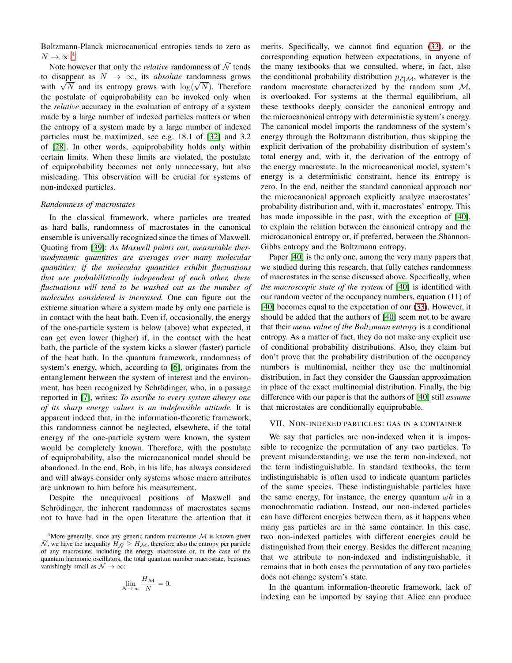Boltzmann-Planck microcanonical entropies tends to zero as  $N \to \infty$ <sup>[4](#page-11-0)</sup>

Note however that only the *relative* randomness of  $\overline{N}$  tends to disappear as  $N \to \infty$ , its *absolute* randomness grows with  $\sqrt{N}$  and its entropy grows with  $\log(\sqrt{N})$ . Therefore the postulate of equiprobability can be invoked only when the *relative* accuracy in the evaluation of entropy of a system made by a large number of indexed particles matters or when the entropy of a system made by a large number of indexed particles must be maximized, see e.g. 18.1 of [\[32\]](#page-16-31) and 3.2 of [\[28\]](#page-16-27). In other words, equiprobability holds only within certain limits. When these limits are violated, the postulate of equiprobability becomes not only unnecessary, but also misleading. This observation will be crucial for systems of non-indexed particles.

#### *Randomness of macrostates*

In the classical framework, where particles are treated as hard balls, randomness of macrostates in the canonical ensemble is universally recognized since the times of Maxwell. Quoting from [\[39\]](#page-16-38): *As Maxwell points out, measurable thermodynamic quantities are averages over many molecular quantities; if the molecular quantities exhibit fluctuations that are probabilistically independent of each other, these fluctuations will tend to be washed out as the number of molecules considered is increased.* One can figure out the extreme situation where a system made by only one particle is in contact with the heat bath. Even if, occasionally, the energy of the one-particle system is below (above) what expected, it can get even lower (higher) if, in the contact with the heat bath, the particle of the system kicks a slower (faster) particle of the heat bath. In the quantum framework, randomness of system's energy, which, according to [\[6\]](#page-16-5), originates from the entanglement between the system of interest and the environment, has been recognized by Schrödinger, who, in a passage reported in [\[7\]](#page-16-6), writes: *To ascribe to every system always one of its sharp energy values is an indefensible attitude.* It is apparent indeed that, in the information-theoretic framework, this randomness cannot be neglected, elsewhere, if the total energy of the one-particle system were known, the system would be completely known. Therefore, with the postulate of equiprobability, also the microcanonical model should be abandoned. In the end, Bob, in his life, has always considered and will always consider only systems whose macro attributes are unknown to him before his measurement.

Despite the unequivocal positions of Maxwell and Schrödinger, the inherent randomness of macrostates seems not to have had in the open literature the attention that it

$$
\lim_{N \to \infty} \frac{H_{\mathcal{M}}}{N} = 0.
$$

merits. Specifically, we cannot find equation [\(33\)](#page-7-6), or the corresponding equation between expectations, in anyone of the many textbooks that we consulted, where, in fact, also the conditional probability distribution  $p_{\bar{\mathcal{L}}|\mathcal{M}}$ , whatever is the random macrostate characterized by the random sum M, is overlooked. For systems at the thermal equilibrium, all these textbooks deeply consider the canonical entropy and the microcanonical entropy with deterministic system's energy. The canonical model imports the randomness of the system's energy through the Boltzmann distribution, thus skipping the explicit derivation of the probability distribution of system's total energy and, with it, the derivation of the entropy of the energy macrostate. In the microcanonical model, system's energy is a deterministic constraint, hence its entropy is zero. In the end, neither the standard canonical approach nor the microcanonical approach explicitly analyze macrostates' probability distribution and, with it, macrostates' entropy. This has made impossible in the past, with the exception of [\[40\]](#page-16-39), to explain the relation between the canonical entropy and the microcanonical entropy or, if preferred, between the Shannon-Gibbs entropy and the Boltzmann entropy.

Paper [\[40\]](#page-16-39) is the only one, among the very many papers that we studied during this research, that fully catches randomness of macrostates in the sense discussed above. Specifically, when *the macroscopic state of the system* of [\[40\]](#page-16-39) is identified with our random vector of the occupancy numbers, equation (11) of [\[40\]](#page-16-39) becomes equal to the expectation of our [\(33\)](#page-7-6). However, it should be added that the authors of [\[40\]](#page-16-39) seem not to be aware that their *mean value of the Boltzmann entropy* is a conditional entropy. As a matter of fact, they do not make any explicit use of conditional probability distributions. Also, they claim but don't prove that the probability distribution of the occupancy numbers is multinomial, neither they use the multinomial distribution, in fact they consider the Gaussian approximation in place of the exact multinomial distribution. Finally, the big difference with our paper is that the authors of [\[40\]](#page-16-39) still *assume* that microstates are conditionally equiprobable.

#### VII. NON-INDEXED PARTICLES: GAS IN A CONTAINER

We say that particles are non-indexed when it is impossible to recognize the permutation of any two particles. To prevent misunderstanding, we use the term non-indexed, not the term indistinguishable. In standard textbooks, the term indistinguishable is often used to indicate quantum particles of the same species. These indistinguishable particles have the same energy, for instance, the energy quantum  $\omega \hbar$  in a monochromatic radiation. Instead, our non-indexed particles can have different energies between them, as it happens when many gas particles are in the same container. In this case, two non-indexed particles with different energies could be distinguished from their energy. Besides the different meaning that we attribute to non-indexed and indistinguishable, it remains that in both cases the permutation of any two particles does not change system's state.

In the quantum information-theoretic framework, lack of indexing can be imported by saying that Alice can produce

<span id="page-11-0"></span><sup>&</sup>lt;sup>4</sup>More generally, since any generic random macrostate  $\mathcal M$  is known given  $\overline{\mathcal{N}}$ , we have the inequality  $H_{\overline{\mathcal{N}}} \geq H_{\mathcal{M}}$ , therefore also the entropy per particle of any macrostate, including the energy macrostate or, in the case of the quantum harmonic oscillators, the total quantum number macrostate, becomes vanishingly small as  $\mathcal{N} \rightarrow \infty$ :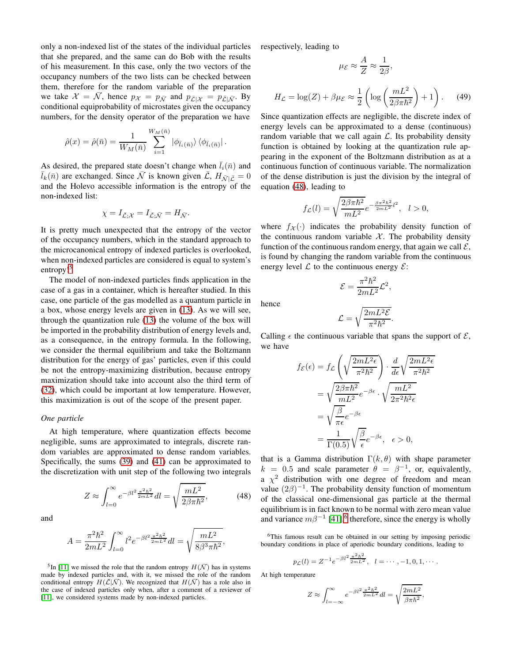only a non-indexed list of the states of the individual particles that she prepared, and the same can do Bob with the results of his measurement. In this case, only the two vectors of the occupancy numbers of the two lists can be checked between them, therefore for the random variable of the preparation we take  $\mathcal{X} = \bar{\mathcal{N}}$ , hence  $p_{\mathcal{X}} = p_{\bar{\mathcal{N}}}$  and  $p_{\bar{\mathcal{L}}|\mathcal{X}} = p_{\bar{\mathcal{L}}|\bar{\mathcal{N}}}$ . By conditional equiprobability of microstates given the occupancy numbers, for the density operator of the preparation we have

$$
\hat{\rho}(x) = \hat{\rho}(\bar{n}) = \frac{1}{W_M(\bar{n})} \sum_{i=1}^{W_M(\bar{n})} |\phi_{\bar{l}_i(\bar{n})}\rangle \langle \phi_{\bar{l}_i(\bar{n})}|.
$$

As desired, the prepared state doesn't change when  $\bar{l}_i(\bar{n})$  and  $\bar{l}_k(\bar{n})$  are exchanged. Since  $\bar{\mathcal{N}}$  is known given  $\bar{\mathcal{L}}, H_{\bar{\mathcal{N}}|\bar{\mathcal{L}}}=0$ and the Holevo accessible information is the entropy of the non-indexed list:

$$
\chi = I_{\bar{\mathcal{L}};\mathcal{X}} = I_{\bar{\mathcal{L}};\bar{\mathcal{N}}} = H_{\bar{\mathcal{N}}}.
$$

It is pretty much unexpected that the entropy of the vector of the occupancy numbers, which in the standard approach to the microcanonical entropy of indexed particles is overlooked, when non-indexed particles are considered is equal to system's entropy!<sup>[5](#page-12-0)</sup>

The model of non-indexed particles finds application in the case of a gas in a container, which is hereafter studied. In this case, one particle of the gas modelled as a quantum particle in a box, whose energy levels are given in [\(13\)](#page-5-8). As we will see, through the quantization rule [\(13\)](#page-5-8) the volume of the box will be imported in the probability distribution of energy levels and, as a consequence, in the entropy formula. In the following, we consider the thermal equilibrium and take the Boltzmann distribution for the energy of gas' particles, even if this could be not the entropy-maximizing distribution, because entropy maximization should take into account also the third term of [\(32\)](#page-7-7), which could be important at low temperature. However, this maximization is out of the scope of the present paper.

## *One particle*

At high temperature, where quantization effects become negligible, sums are approximated to integrals, discrete random variables are approximated to dense random variables. Specifically, the sums [\(39\)](#page-8-3) and [\(41\)](#page-8-9) can be approximated to the discretization with unit step of the following two integrals

<span id="page-12-1"></span>
$$
Z \approx \int_{l=0}^{\infty} e^{-\beta l^2 \frac{\pi^2 \hbar^2}{2mL^2}} dl = \sqrt{\frac{mL^2}{2\beta \pi \hbar^2}},
$$
(48)

and

$$
A = \frac{\pi^2 \hbar^2}{2mL^2} \int_{l=0}^{\infty} l^2 e^{-\beta l^2 \frac{\pi^2 \hbar^2}{2mL^2}} dl = \sqrt{\frac{mL^2}{8\beta^3 \pi \hbar^2}},
$$

<span id="page-12-0"></span><sup>5</sup>In [\[11\]](#page-16-10) we missed the role that the random entropy  $H(\bar{N})$  has in systems made by indexed particles and, with it, we missed the role of the random conditional entropy  $H(\overline{L}|\overline{N})$ . We recognized that  $H(\overline{N})$  has a role also in the case of indexed particles only when, after a comment of a reviewer of [\[11\]](#page-16-10), we considered systems made by non-indexed particles.

respectively, leading to

$$
\mu_{\mathcal{E}} \approx \frac{1}{Z} \approx \frac{1}{2\beta},
$$
  

$$
H_{\mathcal{L}} = \log(Z) + \beta \mu_{\mathcal{E}} \approx \frac{1}{2} \left( \log \left( \frac{mL^2}{2\beta \pi \hbar^2} \right) + 1 \right). \tag{49}
$$

<span id="page-12-3"></span>1

A

Since quantization effects are negligible, the discrete index of energy levels can be approximated to a dense (continuous) random variable that we call again  $\mathcal{L}$ . Its probability density function is obtained by looking at the quantization rule appearing in the exponent of the Boltzmann distribution as at a continuous function of continuous variable. The normalization of the dense distribution is just the division by the integral of equation [\(48\)](#page-12-1), leading to

$$
f_{\mathcal{L}}(l) = \sqrt{\frac{2\beta\pi\hbar^2}{mL^2}}e^{-\frac{\beta\pi^2\hbar^2}{2mL^2}l^2}, \quad l > 0,
$$

where  $f_X(\cdot)$  indicates the probability density function of the continuous random variable  $X$ . The probability density function of the continuous random energy, that again we call  $\mathcal{E}$ , is found by changing the random variable from the continuous energy level  $\mathcal L$  to the continuous energy  $\mathcal E$ :

$$
\mathcal{E}=\frac{\pi^2\hbar^2}{2mL^2}\mathcal{L}^2,
$$

hence

$$
\mathcal{L} = \sqrt{\frac{2mL^2\mathcal{E}}{\pi^2\hbar^2}}
$$

.

Calling  $\epsilon$  the continuous variable that spans the support of  $\mathcal{E}$ , we have

$$
f_{\mathcal{E}}(\epsilon) = f_{\mathcal{L}} \left( \sqrt{\frac{2mL^2 \epsilon}{\pi^2 \hbar^2}} \right) \cdot \frac{d}{d\epsilon} \sqrt{\frac{2mL^2 \epsilon}{\pi^2 \hbar^2}} = \sqrt{\frac{2\beta\pi \hbar^2}{mL^2}} e^{-\beta \epsilon} \cdot \sqrt{\frac{mL^2}{2\pi^2 \hbar^2 \epsilon}} = \sqrt{\frac{\beta}{\pi \epsilon}} e^{-\beta \epsilon} = \frac{1}{\Gamma(0.5)} \sqrt{\frac{\beta}{\epsilon}} e^{-\beta \epsilon}, \quad \epsilon > 0,
$$

that is a Gamma distribution  $\Gamma(k, \theta)$  with shape parameter  $k = 0.5$  and scale parameter  $\theta = \beta^{-1}$ , or, equivalently, a  $\chi^2$  distribution with one degree of freedom and mean value  $(2\beta)^{-1}$ . The probability density function of momentum of the classical one-dimensional gas particle at the thermal equilibrium is in fact known to be normal with zero mean value and variance  $m\beta^{-1}$  [\[41\]](#page-16-40),<sup>[6](#page-12-2)</sup> therefore, since the energy is wholly

<span id="page-12-2"></span><sup>6</sup>This famous result can be obtained in our setting by imposing periodic boundary conditions in place of aperiodic boundary conditions, leading to

$$
p_{\mathcal{L}}(l) = Z^{-1} e^{-\beta l^2 \frac{\pi^2 \hbar^2}{2mL^2}}, \quad l = \cdots, -1, 0, 1, \cdots.
$$

At high temperature

$$
Z \approx \int_{l=-\infty}^{\infty} e^{-\beta l^2 \frac{\pi^2 \hbar^2}{2mL^2}} dl = \sqrt{\frac{2mL^2}{\beta \pi \hbar^2}},
$$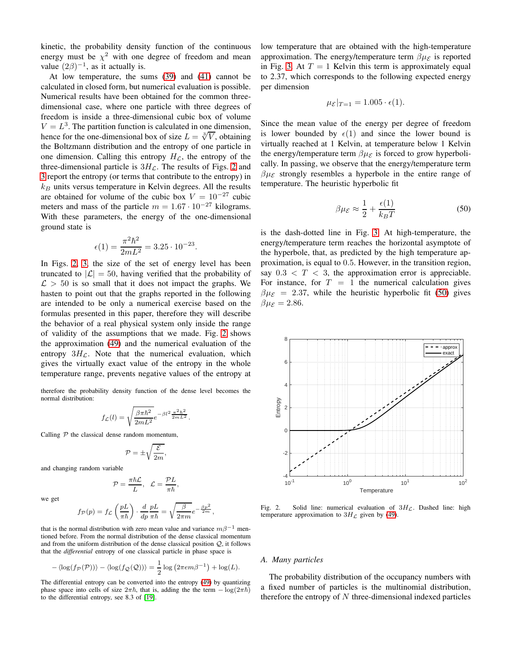kinetic, the probability density function of the continuous energy must be  $\chi^2$  with one degree of freedom and mean value  $(2\beta)^{-1}$ , as it actually is.

At low temperature, the sums [\(39\)](#page-8-3) and [\(41\)](#page-8-9) cannot be calculated in closed form, but numerical evaluation is possible. Numerical results have been obtained for the common threedimensional case, where one particle with three degrees of freedom is inside a three-dimensional cubic box of volume  $V = L<sup>3</sup>$ . The partition function is calculated in one dimension, hence for the one-dimensional box of size  $L = \sqrt[3]{V}$ , obtaining the Boltzmann distribution and the entropy of one particle in one dimension. Calling this entropy  $H_{\mathcal{L}}$ , the entropy of the three-dimensional particle is  $3H<sub>L</sub>$ . The results of Figs. [2](#page-13-0) and [3](#page-14-0) report the entropy (or terms that contribute to the entropy) in  $k_B$  units versus temperature in Kelvin degrees. All the results are obtained for volume of the cubic box  $V = 10^{-27}$  cubic meters and mass of the particle  $m = 1.67 \cdot 10^{-27}$  kilograms. With these parameters, the energy of the one-dimensional ground state is

$$
\epsilon(1) = \frac{\pi^2 \hbar^2}{2mL^2} = 3.25 \cdot 10^{-23}.
$$

In Figs. [2,](#page-13-0) [3,](#page-14-0) the size of the set of energy level has been truncated to  $|\mathcal{L}| = 50$ , having verified that the probability of  $\mathcal{L} > 50$  is so small that it does not impact the graphs. We hasten to point out that the graphs reported in the following are intended to be only a numerical exercise based on the formulas presented in this paper, therefore they will describe the behavior of a real physical system only inside the range of validity of the assumptions that we made. Fig. [2](#page-13-0) shows the approximation [\(49\)](#page-12-3) and the numerical evaluation of the entropy  $3H_{\mathcal{L}}$ . Note that the numerical evaluation, which gives the virtually exact value of the entropy in the whole temperature range, prevents negative values of the entropy at

therefore the probability density function of the dense level becomes the normal distribution:

$$
f_{\mathcal{L}}(l) = \sqrt{\frac{\beta \pi \hbar^2}{2mL^2}} e^{-\beta l^2 \frac{\pi^2 \hbar^2}{2mL^2}}.
$$

Calling  $P$  the classical dense random momentum,

$$
\mathcal{P}=\pm\sqrt{\frac{\mathcal{E}}{2m}},
$$

and changing random variable

$$
\mathcal{P}=\frac{\pi\hbar\mathcal{L}}{L},\ \ \mathcal{L}=\frac{\mathcal{P}L}{\pi\hbar},
$$

we get

$$
f_{\mathcal{P}}(p) = f_{\mathcal{L}}\left(\frac{pL}{\pi\hbar}\right)\cdot\frac{d}{dp}\frac{pL}{\pi\hbar} = \sqrt{\frac{\beta}{2\pi m}}e^{-\frac{\beta p^2}{2m}},
$$

that is the normal distribution with zero mean value and variance  $m\beta^{-1}$  mentioned before. From the normal distribution of the dense classical momentum and from the uniform distribution of the dense classical position Q, it follows that the *differential* entropy of one classical particle in phase space is

$$
-\langle \log(f_{\mathcal{P}}(\mathcal{P})) \rangle - \langle \log(f_{\mathcal{Q}}(\mathcal{Q})) \rangle = \frac{1}{2} \log (2\pi e m \beta^{-1}) + \log(L).
$$

The differential entropy can be converted into the entropy [\(49\)](#page-12-3) by quantizing phase space into cells of size  $2\pi\hbar$ , that is, adding the term  $-\log(2\pi\hbar)$ to the differential entropy, see 8.3 of [\[19\]](#page-16-18).

low temperature that are obtained with the high-temperature approximation. The energy/temperature term  $\beta \mu_{\mathcal{E}}$  is reported in Fig. [3.](#page-14-0) At  $T = 1$  Kelvin this term is approximately equal to 2.37, which corresponds to the following expected energy per dimension

$$
\mu_{\mathcal{E}}|_{T=1} = 1.005 \cdot \epsilon(1).
$$

Since the mean value of the energy per degree of freedom is lower bounded by  $\epsilon(1)$  and since the lower bound is virtually reached at 1 Kelvin, at temperature below 1 Kelvin the energy/temperature term  $\beta \mu_{\mathcal{E}}$  is forced to grow hyperbolically. In passing, we observe that the energy/temperature term  $\beta \mu_{\mathcal{E}}$  strongly resembles a hyperbole in the entire range of temperature. The heuristic hyperbolic fit

<span id="page-13-1"></span>
$$
\beta \mu \varepsilon \approx \frac{1}{2} + \frac{\epsilon(1)}{k_B T} \tag{50}
$$

is the dash-dotted line in Fig. [3.](#page-14-0) At high-temperature, the energy/temperature term reaches the horizontal asymptote of the hyperbole, that, as predicted by the high temperature approximation, is equal to 0.5. However, in the transition region, say  $0.3 < T < 3$ , the approximation error is appreciable. For instance, for  $T = 1$  the numerical calculation gives  $\beta \mu_{\mathcal{E}} = 2.37$ , while the heuristic hyperbolic fit [\(50\)](#page-13-1) gives  $\beta \mu_{\mathcal{E}} = 2.86.$ 



<span id="page-13-0"></span>Fig. 2. Solid line: numerical evaluation of  $3H_c$ . Dashed line: high temperature approximation to  $3H_{\mathcal{L}}$  given by [\(49\)](#page-12-3).

#### *A. Many particles*

The probability distribution of the occupancy numbers with a fixed number of particles is the multinomial distribution, therefore the entropy of  $N$  three-dimensional indexed particles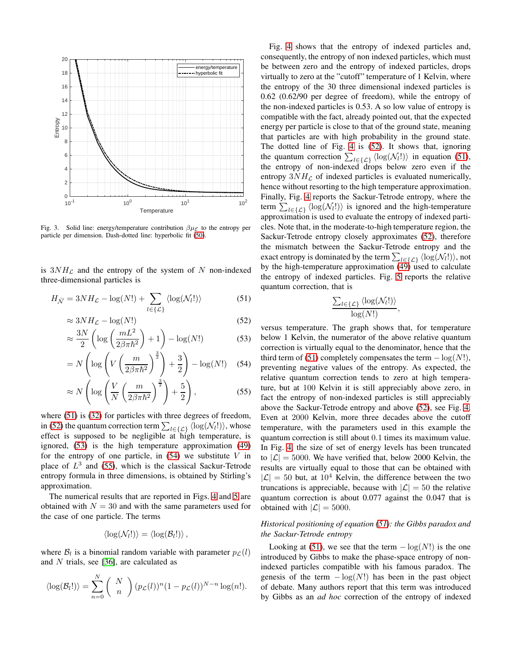

<span id="page-14-0"></span>Fig. 3. Solid line: energy/temperature contribution  $\beta \mu_{\mathcal{E}}$  to the entropy per particle per dimension. Dash-dotted line: hyperbolic fit [\(50\)](#page-13-1).

is  $3NH_{\mathcal{L}}$  and the entropy of the system of N non-indexed three-dimensional particles is

$$
H_{\bar{\mathcal{N}}} = 3NH_{\mathcal{L}} - \log(N!) + \sum_{l \in \{\mathcal{L}\}} \langle \log(\mathcal{N}_l!) \rangle \tag{51}
$$

$$
\approx 3NH_{\mathcal{L}} - \log(N!) \tag{52}
$$

$$
\approx \frac{3N}{2} \left( \log \left( \frac{mL^2}{2\beta \pi \hbar^2} \right) + 1 \right) - \log(N!) \tag{53}
$$

$$
= N\left(\log\left(V\left(\frac{m}{2\beta\pi\hbar^2}\right)^{\frac{3}{2}}\right) + \frac{3}{2}\right) - \log(N!) \quad (54)
$$

$$
\approx N\left(\log\left(\frac{V}{N}\left(\frac{m}{2\beta\pi\hbar^2}\right)^{\frac{3}{2}}\right) + \frac{5}{2}\right),\tag{55}
$$

where  $(51)$  is  $(32)$  for particles with three degrees of freedom, in [\(52\)](#page-14-2) the quantum correction term  $\sum_{l \in \{\mathcal{L}\}} \langle \log(\mathcal{N}_l!) \rangle$ , whose effect is supposed to be negligible at high temperature, is ignored, [\(53\)](#page-14-3) is the high temperature approximation [\(49\)](#page-12-3) for the entropy of one particle, in  $(54)$  we substitute V in place of  $L^3$  and [\(55\)](#page-14-5), which is the classical Sackur-Tetrode entropy formula in three dimensions, is obtained by Stirling's approximation.

The numerical results that are reported in Figs. [4](#page-15-0) and [5](#page-15-1) are obtained with  $N = 30$  and with the same parameters used for the case of one particle. The terms

$$
\langle \log(\mathcal{N}_l!) \rangle = \langle \log(\mathcal{B}_l!) \rangle \,,
$$

where  $\mathcal{B}_l$  is a binomial random variable with parameter  $p_{\mathcal{L}}(l)$ and  $N$  trials, see [\[36\]](#page-16-35), are calculated as

$$
\langle \log(\mathcal{B}_l!)\rangle = \sum_{n=0}^N \binom{N}{n} (p_{\mathcal{L}}(l))^n (1 - p_{\mathcal{L}}(l))^{N-n} \log(n!).
$$

Fig. [4](#page-15-0) shows that the entropy of indexed particles and, consequently, the entropy of non indexed particles, which must be between zero and the entropy of indexed particles, drops virtually to zero at the "cutoff" temperature of 1 Kelvin, where the entropy of the 30 three dimensional indexed particles is 0.62 (0.62/90 per degree of freedom), while the entropy of the non-indexed particles is 0.53. A so low value of entropy is compatible with the fact, already pointed out, that the expected energy per particle is close to that of the ground state, meaning that particles are with high probability in the ground state. The dotted line of Fig. [4](#page-15-0) is [\(52\)](#page-14-2). It shows that, ignoring the quantum correction  $\sum_{l \in \{\mathcal{L}\}} \langle \log(\mathcal{N}_l!) \rangle$  in equation [\(51\)](#page-14-1), the entropy of non-indexed drops below zero even if the entropy  $3NH_{\mathcal{L}}$  of indexed particles is evaluated numerically, hence without resorting to the high temperature approximation. Finally, Fig. [4](#page-15-0) reports the Sackur-Tetrode entropy, where the term  $\sum_{l \in {\{\mathcal{L}\}}}\langle \log(\mathcal{N}_l!) \rangle$  is ignored and the high-temperature approximation is used to evaluate the entropy of indexed particles. Note that, in the moderate-to-high temperature region, the Sackur-Tetrode entropy closely approximates [\(52\)](#page-14-2), therefore the mismatch between the Sackur-Tetrode entropy and the exact entropy is dominated by the term  $\sum_{l\in\{\mathcal{L}\}}\langle\log(\mathcal{N}_l!)\rangle$ , not by the high-temperature approximation  $(49)$  used to calculate the entropy of indexed particles. Fig. [5](#page-15-1) reports the relative quantum correction, that is

$$
\frac{\sum_{l\in\{\mathcal{L}\}}\langle\log(\mathcal{N}_l!)\rangle}{\log(N!)},
$$

<span id="page-14-5"></span><span id="page-14-4"></span><span id="page-14-3"></span><span id="page-14-2"></span><span id="page-14-1"></span>versus temperature. The graph shows that, for temperature below 1 Kelvin, the numerator of the above relative quantum correction is virtually equal to the denominator, hence that the third term of [\(51\)](#page-14-1) completely compensates the term  $-\log(N!)$ , preventing negative values of the entropy. As expected, the relative quantum correction tends to zero at high temperature, but at 100 Kelvin it is still appreciably above zero, in fact the entropy of non-indexed particles is still appreciably above the Sackur-Tetrode entropy and above [\(52\)](#page-14-2), see Fig. [4.](#page-15-0) Even at 2000 Kelvin, more three decades above the cutoff temperature, with the parameters used in this example the quantum correction is still about 0.1 times its maximum value. In Fig. [4,](#page-15-0) the size of set of energy levels has been truncated to  $|\mathcal{L}| = 5000$ . We have verified that, below 2000 Kelvin, the results are virtually equal to those that can be obtained with  $|\mathcal{L}| = 50$  but, at  $10^4$  Kelvin, the difference between the two truncations is appreciable, because with  $|\mathcal{L}| = 50$  the relative quantum correction is about 0.077 against the 0.047 that is obtained with  $|\mathcal{L}| = 5000$ .

## *Historical positioning of equation [\(51\)](#page-14-1): the Gibbs paradox and the Sackur-Tetrode entropy*

Looking at [\(51\)](#page-14-1), we see that the term  $-\log(N!)$  is the one introduced by Gibbs to make the phase-space entropy of nonindexed particles compatible with his famous paradox. The genesis of the term  $-\log(N!)$  has been in the past object of debate. Many authors report that this term was introduced by Gibbs as an *ad hoc* correction of the entropy of indexed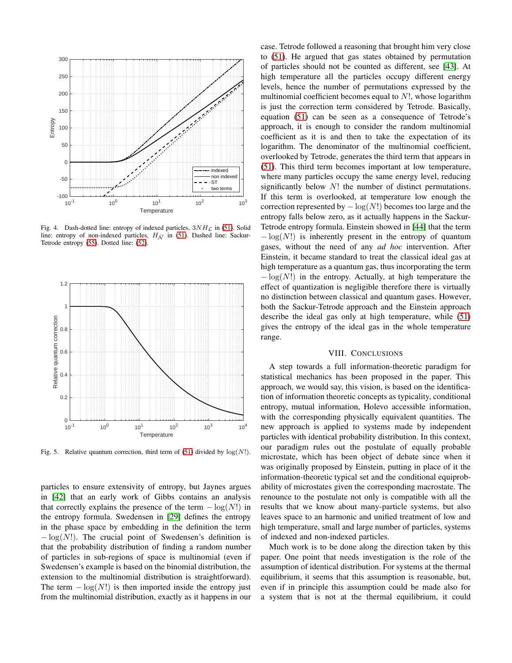

<span id="page-15-0"></span>Fig. 4. Dash-dotted line: entropy of indexed particles,  $3NH<sub>C</sub>$  in [\(51\)](#page-14-1). Solid line: entropy of non-indexed particles,  $H_{\overline{\mathcal{N}}}$  in [\(51\)](#page-14-1). Dashed line: Sackur-Tetrode entropy [\(55\)](#page-14-5). Dotted line: [\(52\)](#page-14-2).



<span id="page-15-1"></span>Fig. 5. Relative quantum correction, third term of [\(51\)](#page-14-1) divided by  $log(N!)$ .

particles to ensure extensivity of entropy, but Jaynes argues in [\[42\]](#page-16-41) that an early work of Gibbs contains an analysis that correctly explains the presence of the term  $-\log(N!)$  in the entropy formula. Swedensen in [\[29\]](#page-16-28) defines the entropy in the phase space by embedding in the definition the term  $-\log(N!)$ . The crucial point of Swedensen's definition is that the probability distribution of finding a random number of particles in sub-regions of space is multinomial (even if Swedensen's example is based on the binomial distribution, the extension to the multinomial distribution is straightforward). The term  $-\log(N!)$  is then imported inside the entropy just from the multinomial distribution, exactly as it happens in our

case. Tetrode followed a reasoning that brought him very close to [\(51\)](#page-14-1). He argued that gas states obtained by permutation of particles should not be counted as different, see [\[43\]](#page-16-42). At high temperature all the particles occupy different energy levels, hence the number of permutations expressed by the multinomial coefficient becomes equal to  $N!$ , whose logarithm is just the correction term considered by Tetrode. Basically, equation [\(51\)](#page-14-1) can be seen as a consequence of Tetrode's approach, it is enough to consider the random multinomial coefficient as it is and then to take the expectation of its logarithm. The denominator of the multinomial coefficient, overlooked by Tetrode, generates the third term that appears in [\(51\)](#page-14-1). This third term becomes important at low temperature, where many particles occupy the same energy level, reducing significantly below  $N!$  the number of distinct permutations. If this term is overlooked, at temperature low enough the correction represented by  $-\log(N!)$  becomes too large and the entropy falls below zero, as it actually happens in the Sackur-Tetrode entropy formula. Einstein showed in [\[44\]](#page-16-43) that the term  $-\log(N!)$  is inherently present in the entropy of quantum gases, without the need of any *ad hoc* intervention. After Einstein, it became standard to treat the classical ideal gas at high temperature as a quantum gas, thus incorporating the term  $-\log(N!)$  in the entropy. Actually, at high temperature the effect of quantization is negligible therefore there is virtually no distinction between classical and quantum gases. However, both the Sackur-Tetrode approach and the Einstein approach describe the ideal gas only at high temperature, while [\(51\)](#page-14-1) gives the entropy of the ideal gas in the whole temperature range.

## VIII. CONCLUSIONS

A step towards a full information-theoretic paradigm for statistical mechanics has been proposed in the paper. This approach, we would say, this vision, is based on the identification of information theoretic concepts as typicality, conditional entropy, mutual information, Holevo accessible information, with the corresponding physically equivalent quantities. The new approach is applied to systems made by independent particles with identical probability distribution. In this context, our paradigm rules out the postulate of equally probable microstate, which has been object of debate since when it was originally proposed by Einstein, putting in place of it the information-theoretic typical set and the conditional equiprobability of microstates given the corresponding macrostate. The renounce to the postulate not only is compatible with all the results that we know about many-particle systems, but also leaves space to an harmonic and unified treatment of low and high temperature, small and large number of particles, systems of indexed and non-indexed particles.

Much work is to be done along the direction taken by this paper. One point that needs investigation is the role of the assumption of identical distribution. For systems at the thermal equilibrium, it seems that this assumption is reasonable, but, even if in principle this assumption could be made also for a system that is not at the thermal equilibrium, it could